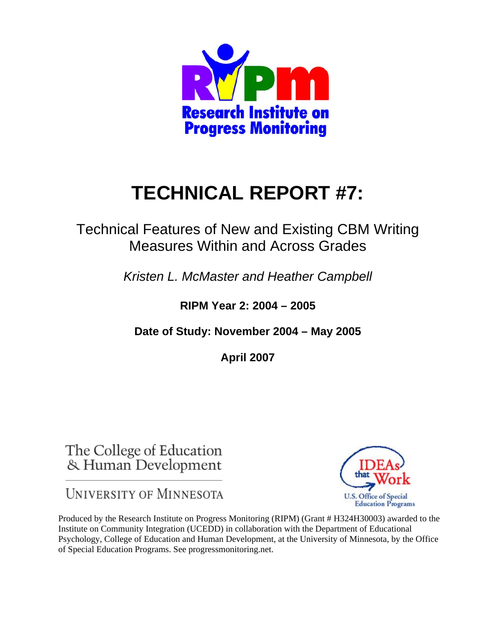

# **TECHNICAL REPORT #7:**

## Technical Features of New and Existing CBM Writing Measures Within and Across Grades

*Kristen L. McMaster and Heather Campbell* 

**RIPM Year 2: 2004 – 2005** 

**Date of Study: November 2004 – May 2005** 

**April 2007** 

The College of Education & Human Development

**UNIVERSITY OF MINNESOTA** 

Produced by the Research Institute on Progress Monitoring (RIPM) (Grant # H324H30003) awarded to the Institute on Community Integration (UCEDD) in collaboration with the Department of Educational Psychology, College of Education and Human Development, at the University of Minnesota, by the Office of Special Education Programs. See progressmonitoring.net.

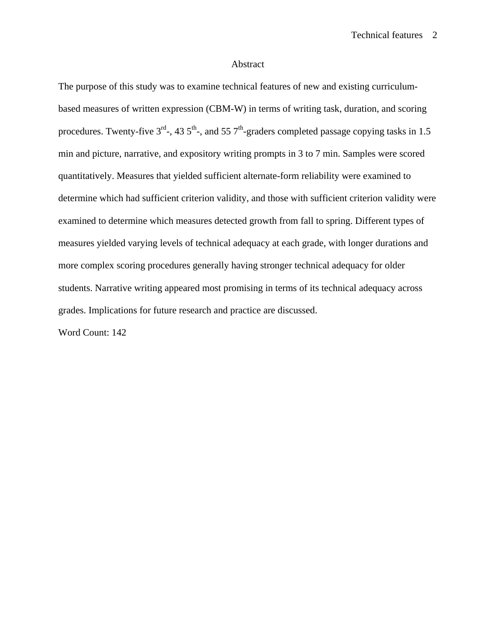#### Abstract

The purpose of this study was to examine technical features of new and existing curriculumbased measures of written expression (CBM-W) in terms of writing task, duration, and scoring procedures. Twenty-five  $3^{rd}$ -, 43  $5^{th}$ -, and 55  $7^{th}$ -graders completed passage copying tasks in 1.5 min and picture, narrative, and expository writing prompts in 3 to 7 min. Samples were scored quantitatively. Measures that yielded sufficient alternate-form reliability were examined to determine which had sufficient criterion validity, and those with sufficient criterion validity were examined to determine which measures detected growth from fall to spring. Different types of measures yielded varying levels of technical adequacy at each grade, with longer durations and more complex scoring procedures generally having stronger technical adequacy for older students. Narrative writing appeared most promising in terms of its technical adequacy across grades. Implications for future research and practice are discussed.

Word Count: 142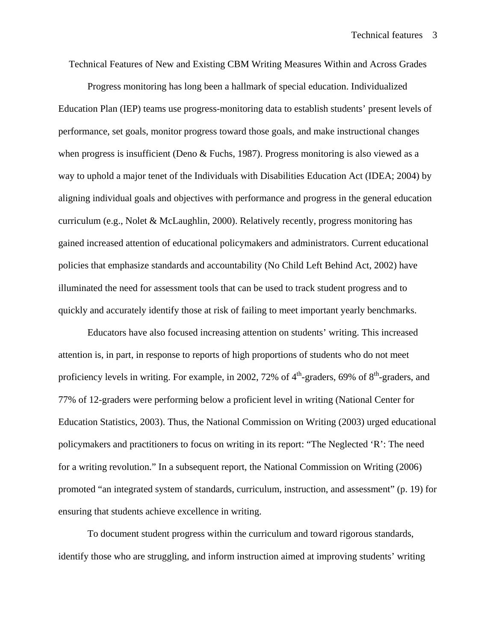Technical Features of New and Existing CBM Writing Measures Within and Across Grades

 Progress monitoring has long been a hallmark of special education. Individualized Education Plan (IEP) teams use progress-monitoring data to establish students' present levels of performance, set goals, monitor progress toward those goals, and make instructional changes when progress is insufficient (Deno  $&$  Fuchs, 1987). Progress monitoring is also viewed as a way to uphold a major tenet of the Individuals with Disabilities Education Act (IDEA; 2004) by aligning individual goals and objectives with performance and progress in the general education curriculum (e.g., Nolet & McLaughlin, 2000). Relatively recently, progress monitoring has gained increased attention of educational policymakers and administrators. Current educational policies that emphasize standards and accountability (No Child Left Behind Act, 2002) have illuminated the need for assessment tools that can be used to track student progress and to quickly and accurately identify those at risk of failing to meet important yearly benchmarks.

Educators have also focused increasing attention on students' writing. This increased attention is, in part, in response to reports of high proportions of students who do not meet proficiency levels in writing. For example, in 2002, 72% of  $4<sup>th</sup>$ -graders, 69% of  $8<sup>th</sup>$ -graders, and 77% of 12-graders were performing below a proficient level in writing (National Center for Education Statistics, 2003). Thus, the National Commission on Writing (2003) urged educational policymakers and practitioners to focus on writing in its report: "The Neglected 'R': The need for a writing revolution." In a subsequent report, the National Commission on Writing (2006) promoted "an integrated system of standards, curriculum, instruction, and assessment" (p. 19) for ensuring that students achieve excellence in writing.

To document student progress within the curriculum and toward rigorous standards, identify those who are struggling, and inform instruction aimed at improving students' writing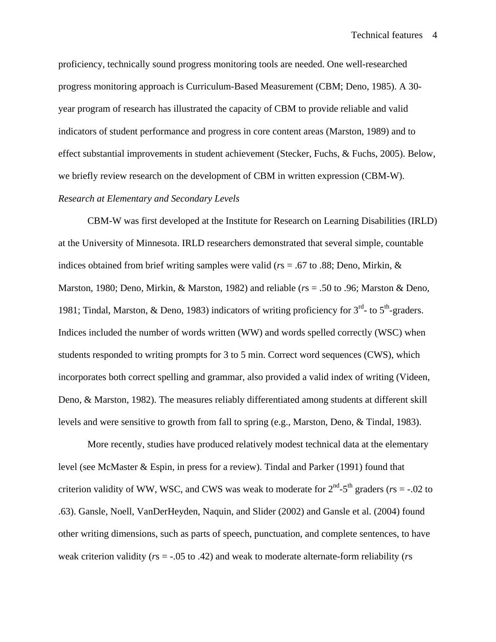proficiency, technically sound progress monitoring tools are needed. One well-researched progress monitoring approach is Curriculum-Based Measurement (CBM; Deno, 1985). A 30 year program of research has illustrated the capacity of CBM to provide reliable and valid indicators of student performance and progress in core content areas (Marston, 1989) and to effect substantial improvements in student achievement (Stecker, Fuchs, & Fuchs, 2005). Below, we briefly review research on the development of CBM in written expression (CBM-W).

#### *Research at Elementary and Secondary Levels*

CBM-W was first developed at the Institute for Research on Learning Disabilities (IRLD) at the University of Minnesota. IRLD researchers demonstrated that several simple, countable indices obtained from brief writing samples were valid (*r*s = .67 to .88; Deno, Mirkin, & Marston, 1980; Deno, Mirkin, & Marston, 1982) and reliable (*r*s = .50 to .96; Marston & Deno, 1981; Tindal, Marston, & Deno, 1983) indicators of writing proficiency for  $3<sup>rd</sup>$ - to  $5<sup>th</sup>$ -graders. Indices included the number of words written (WW) and words spelled correctly (WSC) when students responded to writing prompts for 3 to 5 min. Correct word sequences (CWS), which incorporates both correct spelling and grammar, also provided a valid index of writing (Videen, Deno, & Marston, 1982). The measures reliably differentiated among students at different skill levels and were sensitive to growth from fall to spring (e.g., Marston, Deno, & Tindal, 1983).

More recently, studies have produced relatively modest technical data at the elementary level (see McMaster & Espin, in press for a review). Tindal and Parker (1991) found that criterion validity of WW, WSC, and CWS was weak to moderate for  $2<sup>nd</sup> - 5<sup>th</sup>$  graders ( $r_s = -.02$  to .63). Gansle, Noell, VanDerHeyden, Naquin, and Slider (2002) and Gansle et al. (2004) found other writing dimensions, such as parts of speech, punctuation, and complete sentences, to have weak criterion validity (*r*s = -.05 to .42) and weak to moderate alternate-form reliability (*r*s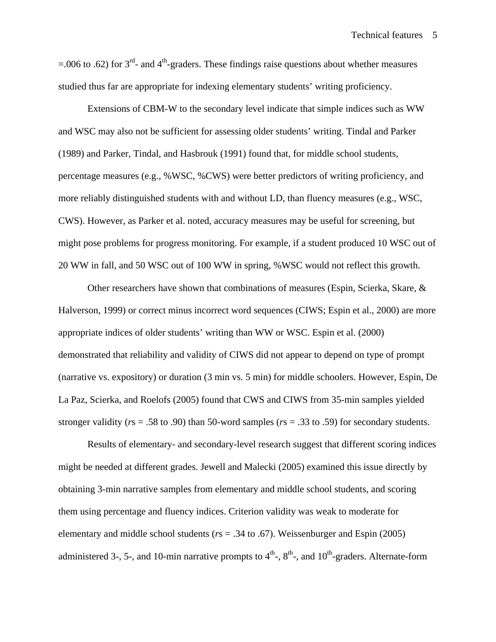$=$ .006 to .62) for 3<sup>rd</sup>- and 4<sup>th</sup>-graders. These findings raise questions about whether measures studied thus far are appropriate for indexing elementary students' writing proficiency.

Extensions of CBM-W to the secondary level indicate that simple indices such as WW and WSC may also not be sufficient for assessing older students' writing. Tindal and Parker (1989) and Parker, Tindal, and Hasbrouk (1991) found that, for middle school students, percentage measures (e.g., %WSC, %CWS) were better predictors of writing proficiency, and more reliably distinguished students with and without LD, than fluency measures (e.g., WSC, CWS). However, as Parker et al. noted, accuracy measures may be useful for screening, but might pose problems for progress monitoring. For example, if a student produced 10 WSC out of 20 WW in fall, and 50 WSC out of 100 WW in spring, %WSC would not reflect this growth.

Other researchers have shown that combinations of measures (Espin, Scierka, Skare, & Halverson, 1999) or correct minus incorrect word sequences (CIWS; Espin et al., 2000) are more appropriate indices of older students' writing than WW or WSC. Espin et al. (2000) demonstrated that reliability and validity of CIWS did not appear to depend on type of prompt (narrative vs. expository) or duration (3 min vs. 5 min) for middle schoolers. However, Espin, De La Paz, Scierka, and Roelofs (2005) found that CWS and CIWS from 35-min samples yielded stronger validity (*r*s = .58 to .90) than 50-word samples (*r*s = .33 to .59) for secondary students.

Results of elementary- and secondary-level research suggest that different scoring indices might be needed at different grades. Jewell and Malecki (2005) examined this issue directly by obtaining 3-min narrative samples from elementary and middle school students, and scoring them using percentage and fluency indices. Criterion validity was weak to moderate for elementary and middle school students (*r*s = .34 to .67). Weissenburger and Espin (2005) administered 3-, 5-, and 10-min narrative prompts to  $4<sup>th</sup>$ -,  $8<sup>th</sup>$ -, and  $10<sup>th</sup>$ -graders. Alternate-form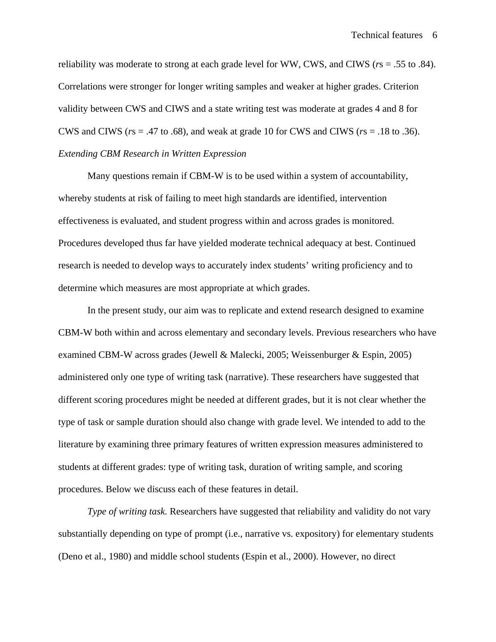reliability was moderate to strong at each grade level for WW, CWS, and CIWS (*r*s = .55 to .84). Correlations were stronger for longer writing samples and weaker at higher grades. Criterion validity between CWS and CIWS and a state writing test was moderate at grades 4 and 8 for CWS and CIWS (*r*s = .47 to .68), and weak at grade 10 for CWS and CIWS (*r*s = .18 to .36). *Extending CBM Research in Written Expression* 

Many questions remain if CBM-W is to be used within a system of accountability, whereby students at risk of failing to meet high standards are identified, intervention effectiveness is evaluated, and student progress within and across grades is monitored. Procedures developed thus far have yielded moderate technical adequacy at best. Continued research is needed to develop ways to accurately index students' writing proficiency and to determine which measures are most appropriate at which grades.

In the present study, our aim was to replicate and extend research designed to examine CBM-W both within and across elementary and secondary levels. Previous researchers who have examined CBM-W across grades (Jewell & Malecki, 2005; Weissenburger & Espin, 2005) administered only one type of writing task (narrative). These researchers have suggested that different scoring procedures might be needed at different grades, but it is not clear whether the type of task or sample duration should also change with grade level. We intended to add to the literature by examining three primary features of written expression measures administered to students at different grades: type of writing task, duration of writing sample, and scoring procedures. Below we discuss each of these features in detail.

*Type of writing task.* Researchers have suggested that reliability and validity do not vary substantially depending on type of prompt (i.e., narrative vs. expository) for elementary students (Deno et al., 1980) and middle school students (Espin et al., 2000). However, no direct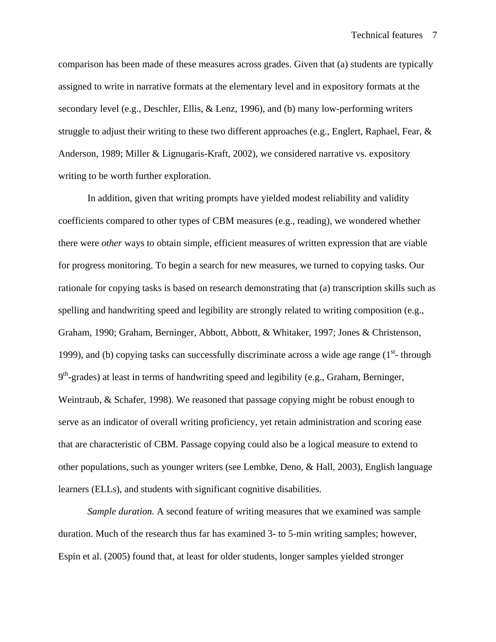comparison has been made of these measures across grades. Given that (a) students are typically assigned to write in narrative formats at the elementary level and in expository formats at the secondary level (e.g., Deschler, Ellis, & Lenz, 1996), and (b) many low-performing writers struggle to adjust their writing to these two different approaches (e.g., Englert, Raphael, Fear,  $\&$ Anderson, 1989; Miller & Lignugaris-Kraft, 2002), we considered narrative vs. expository writing to be worth further exploration.

 In addition, given that writing prompts have yielded modest reliability and validity coefficients compared to other types of CBM measures (e.g., reading), we wondered whether there were *other* ways to obtain simple, efficient measures of written expression that are viable for progress monitoring. To begin a search for new measures, we turned to copying tasks. Our rationale for copying tasks is based on research demonstrating that (a) transcription skills such as spelling and handwriting speed and legibility are strongly related to writing composition (e.g., Graham, 1990; Graham, Berninger, Abbott, Abbott, & Whitaker, 1997; Jones & Christenson, 1999), and (b) copying tasks can successfully discriminate across a wide age range  $(1<sup>st</sup>$ - through  $9<sup>th</sup>$ -grades) at least in terms of handwriting speed and legibility (e.g., Graham, Berninger, Weintraub, & Schafer, 1998). We reasoned that passage copying might be robust enough to serve as an indicator of overall writing proficiency, yet retain administration and scoring ease that are characteristic of CBM. Passage copying could also be a logical measure to extend to other populations, such as younger writers (see Lembke, Deno, & Hall, 2003), English language learners (ELLs), and students with significant cognitive disabilities.

 *Sample duration.* A second feature of writing measures that we examined was sample duration. Much of the research thus far has examined 3- to 5-min writing samples; however, Espin et al. (2005) found that, at least for older students, longer samples yielded stronger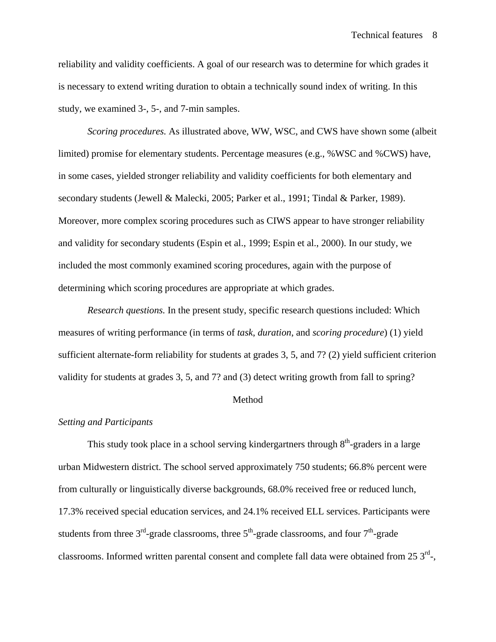reliability and validity coefficients. A goal of our research was to determine for which grades it is necessary to extend writing duration to obtain a technically sound index of writing. In this study, we examined 3-, 5-, and 7-min samples.

*Scoring procedures.* As illustrated above, WW, WSC, and CWS have shown some (albeit limited) promise for elementary students. Percentage measures (e.g., %WSC and %CWS) have, in some cases, yielded stronger reliability and validity coefficients for both elementary and secondary students (Jewell & Malecki, 2005; Parker et al., 1991; Tindal & Parker, 1989). Moreover, more complex scoring procedures such as CIWS appear to have stronger reliability and validity for secondary students (Espin et al., 1999; Espin et al., 2000). In our study, we included the most commonly examined scoring procedures, again with the purpose of determining which scoring procedures are appropriate at which grades.

 *Research questions.* In the present study, specific research questions included: Which measures of writing performance (in terms of *task*, *duration*, and *scoring procedure*) (1) yield sufficient alternate-form reliability for students at grades 3, 5, and 7? (2) yield sufficient criterion validity for students at grades 3, 5, and 7? and (3) detect writing growth from fall to spring?

#### Method

#### *Setting and Participants*

This study took place in a school serving kindergartners through  $8<sup>th</sup>$ -graders in a large urban Midwestern district. The school served approximately 750 students; 66.8% percent were from culturally or linguistically diverse backgrounds, 68.0% received free or reduced lunch, 17.3% received special education services, and 24.1% received ELL services. Participants were students from three  $3<sup>rd</sup>$ -grade classrooms, three  $5<sup>th</sup>$ -grade classrooms, and four  $7<sup>th</sup>$ -grade classrooms. Informed written parental consent and complete fall data were obtained from 25  $3<sup>rd</sup>$ ,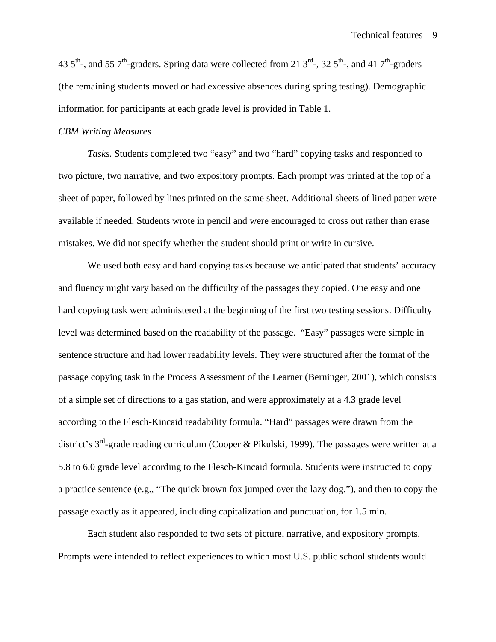43  $5<sup>th</sup>$ -, and 55  $7<sup>th</sup>$ -graders. Spring data were collected from 21  $3<sup>rd</sup>$ -, 32  $5<sup>th</sup>$ -, and 41  $7<sup>th</sup>$ -graders (the remaining students moved or had excessive absences during spring testing). Demographic information for participants at each grade level is provided in Table 1.

#### *CBM Writing Measures*

*Tasks.* Students completed two "easy" and two "hard" copying tasks and responded to two picture, two narrative, and two expository prompts. Each prompt was printed at the top of a sheet of paper, followed by lines printed on the same sheet. Additional sheets of lined paper were available if needed. Students wrote in pencil and were encouraged to cross out rather than erase mistakes. We did not specify whether the student should print or write in cursive.

We used both easy and hard copying tasks because we anticipated that students' accuracy and fluency might vary based on the difficulty of the passages they copied. One easy and one hard copying task were administered at the beginning of the first two testing sessions. Difficulty level was determined based on the readability of the passage. "Easy" passages were simple in sentence structure and had lower readability levels. They were structured after the format of the passage copying task in the Process Assessment of the Learner (Berninger, 2001), which consists of a simple set of directions to a gas station, and were approximately at a 4.3 grade level according to the Flesch-Kincaid readability formula. "Hard" passages were drawn from the district's 3<sup>rd</sup>-grade reading curriculum (Cooper & Pikulski, 1999). The passages were written at a 5.8 to 6.0 grade level according to the Flesch-Kincaid formula. Students were instructed to copy a practice sentence (e.g., "The quick brown fox jumped over the lazy dog."), and then to copy the passage exactly as it appeared, including capitalization and punctuation, for 1.5 min.

Each student also responded to two sets of picture, narrative, and expository prompts. Prompts were intended to reflect experiences to which most U.S. public school students would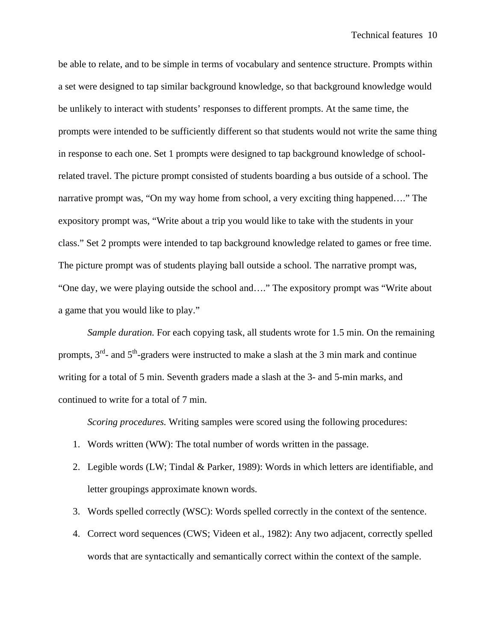be able to relate, and to be simple in terms of vocabulary and sentence structure. Prompts within a set were designed to tap similar background knowledge, so that background knowledge would be unlikely to interact with students' responses to different prompts. At the same time, the prompts were intended to be sufficiently different so that students would not write the same thing in response to each one. Set 1 prompts were designed to tap background knowledge of schoolrelated travel. The picture prompt consisted of students boarding a bus outside of a school. The narrative prompt was, "On my way home from school, a very exciting thing happened…." The expository prompt was, "Write about a trip you would like to take with the students in your class." Set 2 prompts were intended to tap background knowledge related to games or free time. The picture prompt was of students playing ball outside a school. The narrative prompt was, "One day, we were playing outside the school and…." The expository prompt was "Write about a game that you would like to play."

*Sample duration.* For each copying task, all students wrote for 1.5 min. On the remaining prompts,  $3<sup>rd</sup>$ - and  $5<sup>th</sup>$ -graders were instructed to make a slash at the 3 min mark and continue writing for a total of 5 min. Seventh graders made a slash at the 3- and 5-min marks, and continued to write for a total of 7 min.

*Scoring procedures.* Writing samples were scored using the following procedures:

- 1. Words written (WW): The total number of words written in the passage.
- 2. Legible words (LW; Tindal & Parker, 1989): Words in which letters are identifiable, and letter groupings approximate known words.
- 3. Words spelled correctly (WSC): Words spelled correctly in the context of the sentence.
- 4. Correct word sequences (CWS; Videen et al., 1982): Any two adjacent, correctly spelled words that are syntactically and semantically correct within the context of the sample.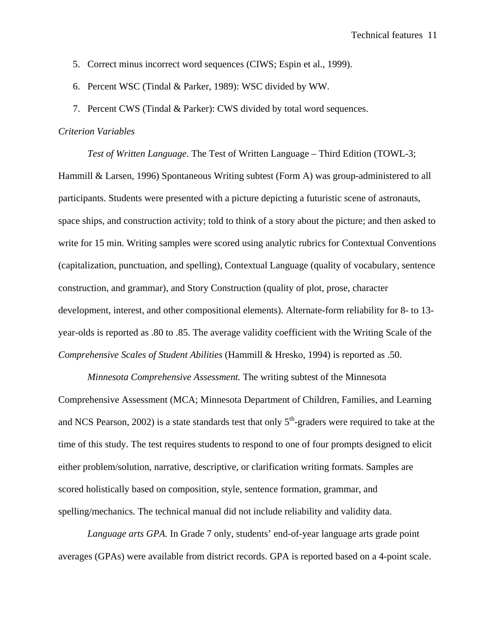- 5. Correct minus incorrect word sequences (CIWS; Espin et al., 1999).
- 6. Percent WSC (Tindal & Parker, 1989): WSC divided by WW.
- 7. Percent CWS (Tindal & Parker): CWS divided by total word sequences.

#### *Criterion Variables*

 *Test of Written Language.* The Test of Written Language – Third Edition (TOWL-3; Hammill & Larsen, 1996) Spontaneous Writing subtest (Form A) was group-administered to all participants. Students were presented with a picture depicting a futuristic scene of astronauts, space ships, and construction activity; told to think of a story about the picture; and then asked to write for 15 min. Writing samples were scored using analytic rubrics for Contextual Conventions (capitalization, punctuation, and spelling), Contextual Language (quality of vocabulary, sentence construction, and grammar), and Story Construction (quality of plot, prose, character development, interest, and other compositional elements). Alternate-form reliability for 8- to 13 year-olds is reported as .80 to .85. The average validity coefficient with the Writing Scale of the *Comprehensive Scales of Student Abilities* (Hammill & Hresko, 1994) is reported as .50.

 *Minnesota Comprehensive Assessment.* The writing subtest of the Minnesota Comprehensive Assessment (MCA; Minnesota Department of Children, Families, and Learning and NCS Pearson, 2002) is a state standards test that only  $5<sup>th</sup>$ -graders were required to take at the time of this study. The test requires students to respond to one of four prompts designed to elicit either problem/solution, narrative, descriptive, or clarification writing formats. Samples are scored holistically based on composition, style, sentence formation, grammar, and spelling/mechanics. The technical manual did not include reliability and validity data.

*Language arts GPA.* In Grade 7 only, students' end-of-year language arts grade point averages (GPAs) were available from district records. GPA is reported based on a 4-point scale.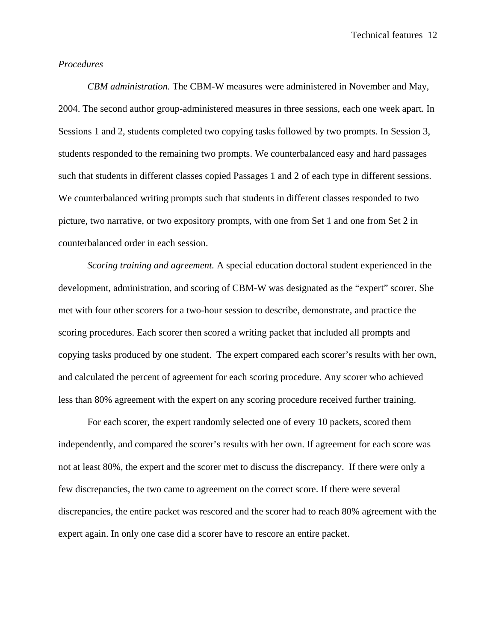#### *Procedures*

*CBM administration.* The CBM-W measures were administered in November and May, 2004. The second author group-administered measures in three sessions, each one week apart. In Sessions 1 and 2, students completed two copying tasks followed by two prompts. In Session 3, students responded to the remaining two prompts. We counterbalanced easy and hard passages such that students in different classes copied Passages 1 and 2 of each type in different sessions. We counterbalanced writing prompts such that students in different classes responded to two picture, two narrative, or two expository prompts, with one from Set 1 and one from Set 2 in counterbalanced order in each session.

 *Scoring training and agreement.* A special education doctoral student experienced in the development, administration, and scoring of CBM-W was designated as the "expert" scorer. She met with four other scorers for a two-hour session to describe, demonstrate, and practice the scoring procedures. Each scorer then scored a writing packet that included all prompts and copying tasks produced by one student. The expert compared each scorer's results with her own, and calculated the percent of agreement for each scoring procedure. Any scorer who achieved less than 80% agreement with the expert on any scoring procedure received further training.

 For each scorer, the expert randomly selected one of every 10 packets, scored them independently, and compared the scorer's results with her own. If agreement for each score was not at least 80%, the expert and the scorer met to discuss the discrepancy. If there were only a few discrepancies, the two came to agreement on the correct score. If there were several discrepancies, the entire packet was rescored and the scorer had to reach 80% agreement with the expert again. In only one case did a scorer have to rescore an entire packet.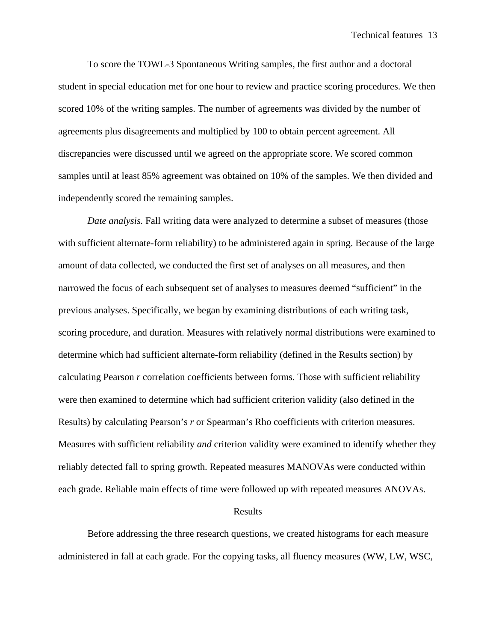To score the TOWL-3 Spontaneous Writing samples, the first author and a doctoral student in special education met for one hour to review and practice scoring procedures. We then scored 10% of the writing samples. The number of agreements was divided by the number of agreements plus disagreements and multiplied by 100 to obtain percent agreement. All discrepancies were discussed until we agreed on the appropriate score. We scored common samples until at least 85% agreement was obtained on 10% of the samples. We then divided and independently scored the remaining samples.

 *Date analysis.* Fall writing data were analyzed to determine a subset of measures (those with sufficient alternate-form reliability) to be administered again in spring. Because of the large amount of data collected, we conducted the first set of analyses on all measures, and then narrowed the focus of each subsequent set of analyses to measures deemed "sufficient" in the previous analyses. Specifically, we began by examining distributions of each writing task, scoring procedure, and duration. Measures with relatively normal distributions were examined to determine which had sufficient alternate-form reliability (defined in the Results section) by calculating Pearson *r* correlation coefficients between forms. Those with sufficient reliability were then examined to determine which had sufficient criterion validity (also defined in the Results) by calculating Pearson's *r* or Spearman's Rho coefficients with criterion measures. Measures with sufficient reliability *and* criterion validity were examined to identify whether they reliably detected fall to spring growth. Repeated measures MANOVAs were conducted within each grade. Reliable main effects of time were followed up with repeated measures ANOVAs.

#### Results

 Before addressing the three research questions, we created histograms for each measure administered in fall at each grade. For the copying tasks, all fluency measures (WW, LW, WSC,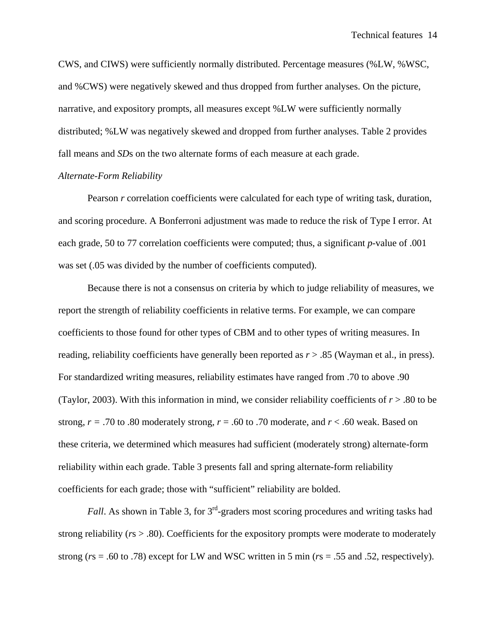CWS, and CIWS) were sufficiently normally distributed. Percentage measures (%LW, %WSC, and %CWS) were negatively skewed and thus dropped from further analyses. On the picture, narrative, and expository prompts, all measures except %LW were sufficiently normally distributed; %LW was negatively skewed and dropped from further analyses. Table 2 provides fall means and *SD*s on the two alternate forms of each measure at each grade.

#### *Alternate-Form Reliability*

Pearson *r* correlation coefficients were calculated for each type of writing task, duration, and scoring procedure. A Bonferroni adjustment was made to reduce the risk of Type I error. At each grade, 50 to 77 correlation coefficients were computed; thus, a significant *p*-value of .001 was set (.05 was divided by the number of coefficients computed).

Because there is not a consensus on criteria by which to judge reliability of measures, we report the strength of reliability coefficients in relative terms. For example, we can compare coefficients to those found for other types of CBM and to other types of writing measures. In reading, reliability coefficients have generally been reported as *r* > .85 (Wayman et al., in press). For standardized writing measures, reliability estimates have ranged from .70 to above .90 (Taylor, 2003). With this information in mind, we consider reliability coefficients of  $r > .80$  to be strong,  $r = .70$  to .80 moderately strong,  $r = .60$  to .70 moderate, and  $r < .60$  weak. Based on these criteria, we determined which measures had sufficient (moderately strong) alternate-form reliability within each grade. Table 3 presents fall and spring alternate-form reliability coefficients for each grade; those with "sufficient" reliability are bolded.

*Fall*. As shown in Table 3, for 3<sup>rd</sup>-graders most scoring procedures and writing tasks had strong reliability (*r*s > .80). Coefficients for the expository prompts were moderate to moderately strong (*r*s = .60 to .78) except for LW and WSC written in 5 min (*r*s = .55 and .52, respectively).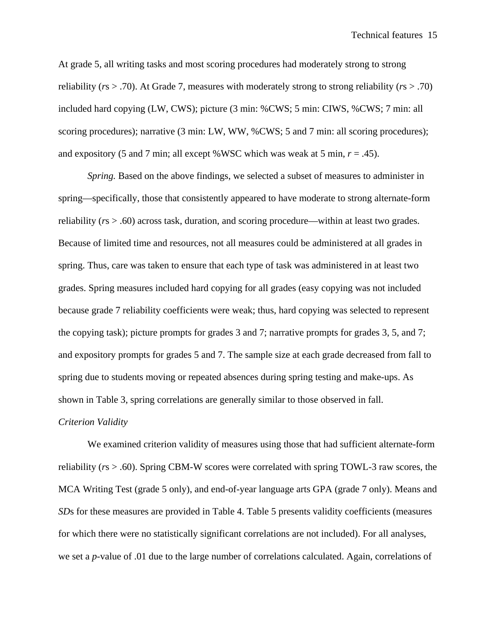At grade 5, all writing tasks and most scoring procedures had moderately strong to strong reliability (*r*s > .70). At Grade 7, measures with moderately strong to strong reliability (*r*s > .70) included hard copying (LW, CWS); picture (3 min: %CWS; 5 min: CIWS, %CWS; 7 min: all scoring procedures); narrative (3 min: LW, WW, %CWS; 5 and 7 min: all scoring procedures); and expository (5 and 7 min; all except %WSC which was weak at 5 min,  $r = .45$ ).

*Spring.* Based on the above findings, we selected a subset of measures to administer in spring—specifically, those that consistently appeared to have moderate to strong alternate-form reliability (*r*s > .60) across task, duration, and scoring procedure—within at least two grades. Because of limited time and resources, not all measures could be administered at all grades in spring. Thus, care was taken to ensure that each type of task was administered in at least two grades. Spring measures included hard copying for all grades (easy copying was not included because grade 7 reliability coefficients were weak; thus, hard copying was selected to represent the copying task); picture prompts for grades 3 and 7; narrative prompts for grades 3, 5, and 7; and expository prompts for grades 5 and 7. The sample size at each grade decreased from fall to spring due to students moving or repeated absences during spring testing and make-ups. As shown in Table 3, spring correlations are generally similar to those observed in fall.

#### *Criterion Validity*

 We examined criterion validity of measures using those that had sufficient alternate-form reliability (*r*s > .60). Spring CBM-W scores were correlated with spring TOWL-3 raw scores, the MCA Writing Test (grade 5 only), and end-of-year language arts GPA (grade 7 only). Means and *SDs* for these measures are provided in Table 4. Table 5 presents validity coefficients (measures for which there were no statistically significant correlations are not included). For all analyses, we set a *p*-value of .01 due to the large number of correlations calculated. Again, correlations of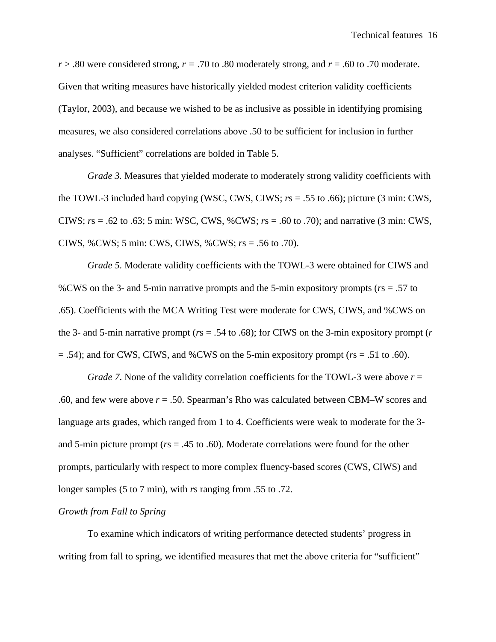*r* > .80 were considered strong, *r =* .70 to .80 moderately strong, and *r* = .60 to .70 moderate. Given that writing measures have historically yielded modest criterion validity coefficients (Taylor, 2003), and because we wished to be as inclusive as possible in identifying promising measures, we also considered correlations above .50 to be sufficient for inclusion in further analyses. "Sufficient" correlations are bolded in Table 5.

*Grade 3.* Measures that yielded moderate to moderately strong validity coefficients with the TOWL-3 included hard copying (WSC, CWS, CIWS; *r*s = .55 to .66); picture (3 min: CWS, CIWS; *r*s = .62 to .63; 5 min: WSC, CWS, %CWS; *r*s = .60 to .70); and narrative (3 min: CWS, CIWS, %CWS; 5 min: CWS, CIWS, %CWS; *r*s = .56 to .70).

*Grade 5*. Moderate validity coefficients with the TOWL-3 were obtained for CIWS and %CWS on the 3- and 5-min narrative prompts and the 5-min expository prompts (*r*s = .57 to .65). Coefficients with the MCA Writing Test were moderate for CWS, CIWS, and %CWS on the 3- and 5-min narrative prompt (*r*s = .54 to .68); for CIWS on the 3-min expository prompt (*r* = .54); and for CWS, CIWS, and %CWS on the 5-min expository prompt (*r*s = .51 to .60).

*Grade 7*. None of the validity correlation coefficients for the TOWL-3 were above *r* = .60, and few were above  $r = .50$ . Spearman's Rho was calculated between CBM–W scores and language arts grades, which ranged from 1 to 4. Coefficients were weak to moderate for the 3and 5-min picture prompt (*r*s = .45 to .60). Moderate correlations were found for the other prompts, particularly with respect to more complex fluency-based scores (CWS, CIWS) and longer samples (5 to 7 min), with *r*s ranging from .55 to .72.

#### *Growth from Fall to Spring*

 To examine which indicators of writing performance detected students' progress in writing from fall to spring, we identified measures that met the above criteria for "sufficient"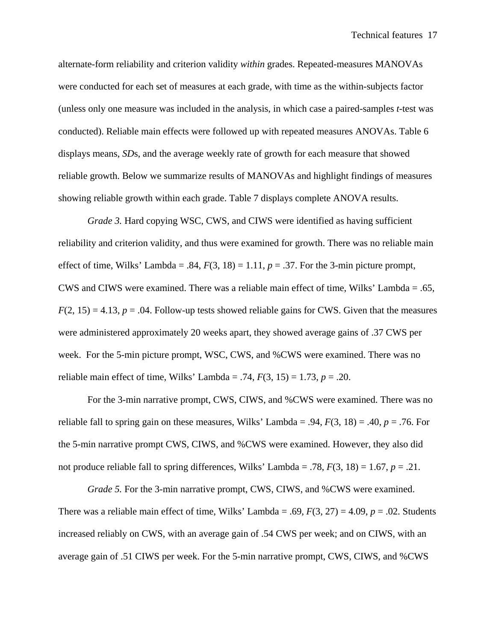alternate-form reliability and criterion validity *within* grades. Repeated-measures MANOVAs were conducted for each set of measures at each grade, with time as the within-subjects factor (unless only one measure was included in the analysis, in which case a paired-samples *t-*test was conducted). Reliable main effects were followed up with repeated measures ANOVAs. Table 6 displays means, *SD*s, and the average weekly rate of growth for each measure that showed reliable growth. Below we summarize results of MANOVAs and highlight findings of measures showing reliable growth within each grade. Table 7 displays complete ANOVA results.

*Grade 3.* Hard copying WSC, CWS, and CIWS were identified as having sufficient reliability and criterion validity, and thus were examined for growth. There was no reliable main effect of time, Wilks' Lambda = .84,  $F(3, 18) = 1.11$ ,  $p = .37$ . For the 3-min picture prompt, CWS and CIWS were examined. There was a reliable main effect of time, Wilks' Lambda = .65,  $F(2, 15) = 4.13$ ,  $p = .04$ . Follow-up tests showed reliable gains for CWS. Given that the measures were administered approximately 20 weeks apart, they showed average gains of .37 CWS per week. For the 5-min picture prompt, WSC, CWS, and %CWS were examined. There was no reliable main effect of time, Wilks' Lambda = .74,  $F(3, 15) = 1.73$ ,  $p = .20$ .

For the 3-min narrative prompt, CWS, CIWS, and %CWS were examined. There was no reliable fall to spring gain on these measures, Wilks' Lambda = .94,  $F(3, 18) = .40$ ,  $p = .76$ . For the 5-min narrative prompt CWS, CIWS, and %CWS were examined. However, they also did not produce reliable fall to spring differences, Wilks' Lambda = .78,  $F(3, 18) = 1.67$ ,  $p = .21$ .

*Grade 5.* For the 3-min narrative prompt, CWS, CIWS, and %CWS were examined. There was a reliable main effect of time, Wilks' Lambda = .69,  $F(3, 27) = 4.09$ ,  $p = .02$ . Students increased reliably on CWS, with an average gain of .54 CWS per week; and on CIWS, with an average gain of .51 CIWS per week. For the 5-min narrative prompt, CWS, CIWS, and %CWS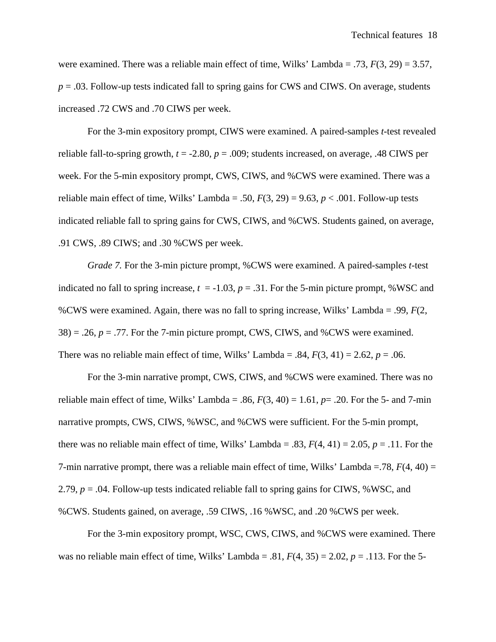were examined. There was a reliable main effect of time, Wilks' Lambda = .73, *F*(3, 29) = 3.57, *p* = .03. Follow-up tests indicated fall to spring gains for CWS and CIWS. On average, students increased .72 CWS and .70 CIWS per week.

For the 3-min expository prompt, CIWS were examined. A paired-samples *t*-test revealed reliable fall-to-spring growth,  $t = -2.80$ ,  $p = .009$ ; students increased, on average, .48 CIWS per week. For the 5-min expository prompt, CWS, CIWS, and %CWS were examined. There was a reliable main effect of time, Wilks' Lambda = .50,  $F(3, 29) = 9.63$ ,  $p < .001$ . Follow-up tests indicated reliable fall to spring gains for CWS, CIWS, and %CWS. Students gained, on average, .91 CWS, .89 CIWS; and .30 %CWS per week.

*Grade 7.* For the 3-min picture prompt, %CWS were examined. A paired-samples *t-*test indicated no fall to spring increase,  $t = -1.03$ ,  $p = .31$ . For the 5-min picture prompt, %WSC and %CWS were examined. Again, there was no fall to spring increase, Wilks' Lambda = .99, *F*(2,  $38$ ) = .26,  $p = .77$ . For the 7-min picture prompt, CWS, CIWS, and %CWS were examined. There was no reliable main effect of time, Wilks' Lambda =  $.84, F(3, 41) = 2.62, p = .06$ .

For the 3-min narrative prompt, CWS, CIWS, and %CWS were examined. There was no reliable main effect of time, Wilks' Lambda =  $.86, F(3, 40) = 1.61, p = .20$ . For the 5- and 7-min narrative prompts, CWS, CIWS, %WSC, and %CWS were sufficient. For the 5-min prompt, there was no reliable main effect of time, Wilks' Lambda = .83,  $F(4, 41) = 2.05$ ,  $p = .11$ . For the 7-min narrative prompt, there was a reliable main effect of time, Wilks' Lambda =  $.78$ ,  $F(4, 40) =$ 2.79,  $p = .04$ . Follow-up tests indicated reliable fall to spring gains for CIWS, %WSC, and %CWS. Students gained, on average, .59 CIWS, .16 %WSC, and .20 %CWS per week.

For the 3-min expository prompt, WSC, CWS, CIWS, and %CWS were examined. There was no reliable main effect of time, Wilks' Lambda = .81,  $F(4, 35) = 2.02$ ,  $p = .113$ . For the 5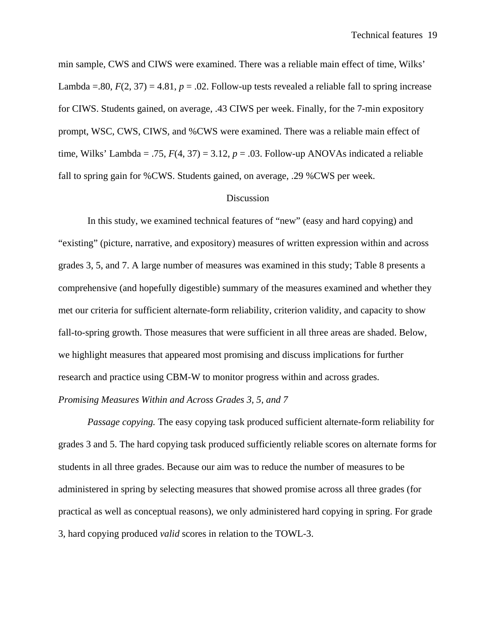min sample, CWS and CIWS were examined. There was a reliable main effect of time, Wilks' Lambda =.80,  $F(2, 37) = 4.81$ ,  $p = .02$ . Follow-up tests revealed a reliable fall to spring increase for CIWS. Students gained, on average, .43 CIWS per week. Finally, for the 7-min expository prompt, WSC, CWS, CIWS, and %CWS were examined. There was a reliable main effect of time, Wilks' Lambda = .75,  $F(4, 37) = 3.12$ ,  $p = .03$ . Follow-up ANOVAs indicated a reliable fall to spring gain for %CWS. Students gained, on average, .29 %CWS per week.

#### Discussion

 In this study, we examined technical features of "new" (easy and hard copying) and "existing" (picture, narrative, and expository) measures of written expression within and across grades 3, 5, and 7. A large number of measures was examined in this study; Table 8 presents a comprehensive (and hopefully digestible) summary of the measures examined and whether they met our criteria for sufficient alternate-form reliability, criterion validity, and capacity to show fall-to-spring growth. Those measures that were sufficient in all three areas are shaded. Below, we highlight measures that appeared most promising and discuss implications for further research and practice using CBM-W to monitor progress within and across grades.

#### *Promising Measures Within and Across Grades 3, 5, and 7*

*Passage copying.* The easy copying task produced sufficient alternate-form reliability for grades 3 and 5. The hard copying task produced sufficiently reliable scores on alternate forms for students in all three grades. Because our aim was to reduce the number of measures to be administered in spring by selecting measures that showed promise across all three grades (for practical as well as conceptual reasons), we only administered hard copying in spring. For grade 3, hard copying produced *valid* scores in relation to the TOWL-3.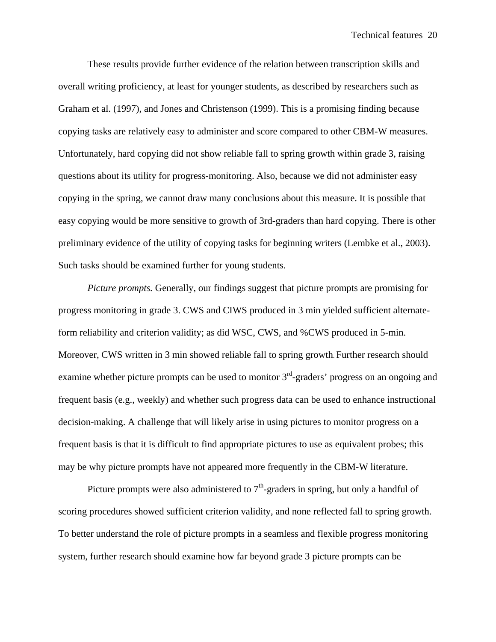These results provide further evidence of the relation between transcription skills and overall writing proficiency, at least for younger students, as described by researchers such as Graham et al. (1997), and Jones and Christenson (1999). This is a promising finding because copying tasks are relatively easy to administer and score compared to other CBM-W measures. Unfortunately, hard copying did not show reliable fall to spring growth within grade 3, raising questions about its utility for progress-monitoring. Also, because we did not administer easy copying in the spring, we cannot draw many conclusions about this measure. It is possible that easy copying would be more sensitive to growth of 3rd-graders than hard copying. There is other preliminary evidence of the utility of copying tasks for beginning writers (Lembke et al., 2003). Such tasks should be examined further for young students.

*Picture prompts.* Generally, our findings suggest that picture prompts are promising for progress monitoring in grade 3. CWS and CIWS produced in 3 min yielded sufficient alternateform reliability and criterion validity; as did WSC, CWS, and %CWS produced in 5-min. Moreover, CWS written in 3 min showed reliable fall to spring growth. Further research should examine whether picture prompts can be used to monitor  $3<sup>rd</sup>$ -graders' progress on an ongoing and frequent basis (e.g., weekly) and whether such progress data can be used to enhance instructional decision-making. A challenge that will likely arise in using pictures to monitor progress on a frequent basis is that it is difficult to find appropriate pictures to use as equivalent probes; this may be why picture prompts have not appeared more frequently in the CBM-W literature.

Picture prompts were also administered to  $7<sup>th</sup>$ -graders in spring, but only a handful of scoring procedures showed sufficient criterion validity, and none reflected fall to spring growth. To better understand the role of picture prompts in a seamless and flexible progress monitoring system, further research should examine how far beyond grade 3 picture prompts can be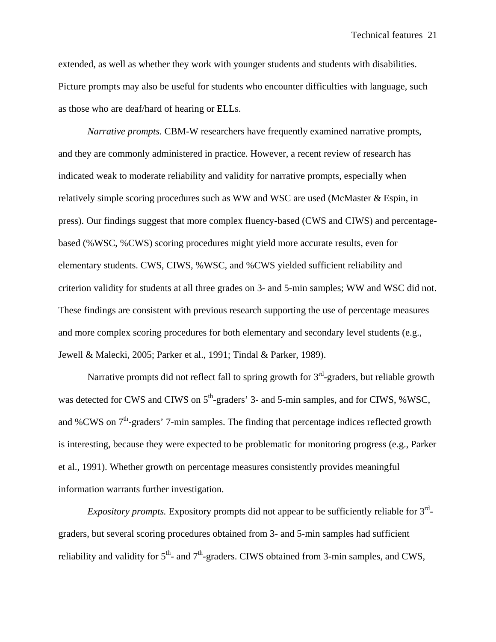extended, as well as whether they work with younger students and students with disabilities. Picture prompts may also be useful for students who encounter difficulties with language, such as those who are deaf/hard of hearing or ELLs.

*Narrative prompts.* CBM-W researchers have frequently examined narrative prompts, and they are commonly administered in practice. However, a recent review of research has indicated weak to moderate reliability and validity for narrative prompts, especially when relatively simple scoring procedures such as WW and WSC are used (McMaster & Espin, in press). Our findings suggest that more complex fluency-based (CWS and CIWS) and percentagebased (%WSC, %CWS) scoring procedures might yield more accurate results, even for elementary students. CWS, CIWS, %WSC, and %CWS yielded sufficient reliability and criterion validity for students at all three grades on 3- and 5-min samples; WW and WSC did not. These findings are consistent with previous research supporting the use of percentage measures and more complex scoring procedures for both elementary and secondary level students (e.g., Jewell & Malecki, 2005; Parker et al., 1991; Tindal & Parker, 1989).

Narrative prompts did not reflect fall to spring growth for  $3<sup>rd</sup>$ -graders, but reliable growth was detected for CWS and CIWS on  $5<sup>th</sup>$ -graders' 3- and 5-min samples, and for CIWS, %WSC, and %CWS on  $7<sup>th</sup>$ -graders' 7-min samples. The finding that percentage indices reflected growth is interesting, because they were expected to be problematic for monitoring progress (e.g., Parker et al., 1991). Whether growth on percentage measures consistently provides meaningful information warrants further investigation.

*Expository prompts.* Expository prompts did not appear to be sufficiently reliable for 3<sup>rd</sup>graders, but several scoring procedures obtained from 3- and 5-min samples had sufficient reliability and validity for  $5<sup>th</sup>$ - and  $7<sup>th</sup>$ -graders. CIWS obtained from 3-min samples, and CWS,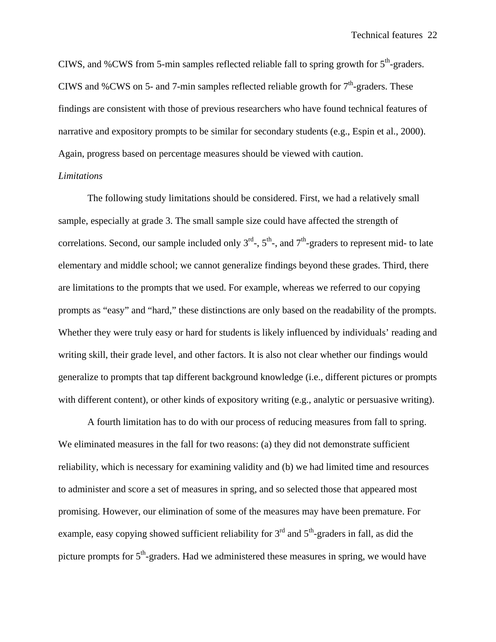CIWS, and %CWS from 5-min samples reflected reliable fall to spring growth for  $5<sup>th</sup>$ -graders. CIWS and %CWS on 5- and 7-min samples reflected reliable growth for  $7<sup>th</sup>$ -graders. These findings are consistent with those of previous researchers who have found technical features of narrative and expository prompts to be similar for secondary students (e.g., Espin et al., 2000). Again, progress based on percentage measures should be viewed with caution.

#### *Limitations*

 The following study limitations should be considered. First, we had a relatively small sample, especially at grade 3. The small sample size could have affected the strength of correlations. Second, our sample included only  $3^{rd}$ -,  $5^{th}$ -, and  $7^{th}$ -graders to represent mid- to late elementary and middle school; we cannot generalize findings beyond these grades. Third, there are limitations to the prompts that we used. For example, whereas we referred to our copying prompts as "easy" and "hard," these distinctions are only based on the readability of the prompts. Whether they were truly easy or hard for students is likely influenced by individuals' reading and writing skill, their grade level, and other factors. It is also not clear whether our findings would generalize to prompts that tap different background knowledge (i.e., different pictures or prompts with different content), or other kinds of expository writing (e.g., analytic or persuasive writing).

A fourth limitation has to do with our process of reducing measures from fall to spring. We eliminated measures in the fall for two reasons: (a) they did not demonstrate sufficient reliability, which is necessary for examining validity and (b) we had limited time and resources to administer and score a set of measures in spring, and so selected those that appeared most promising. However, our elimination of some of the measures may have been premature. For example, easy copying showed sufficient reliability for  $3<sup>rd</sup>$  and  $5<sup>th</sup>$ -graders in fall, as did the picture prompts for  $5<sup>th</sup>$ -graders. Had we administered these measures in spring, we would have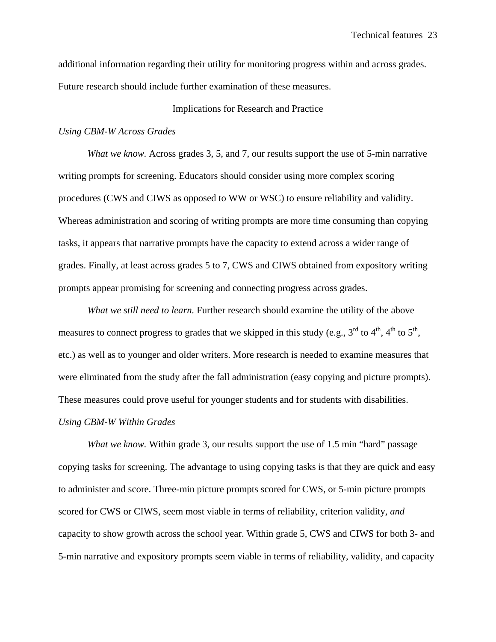additional information regarding their utility for monitoring progress within and across grades. Future research should include further examination of these measures.

#### Implications for Research and Practice

#### *Using CBM-W Across Grades*

*What we know.* Across grades 3, 5, and 7, our results support the use of 5-min narrative writing prompts for screening. Educators should consider using more complex scoring procedures (CWS and CIWS as opposed to WW or WSC) to ensure reliability and validity. Whereas administration and scoring of writing prompts are more time consuming than copying tasks, it appears that narrative prompts have the capacity to extend across a wider range of grades. Finally, at least across grades 5 to 7, CWS and CIWS obtained from expository writing prompts appear promising for screening and connecting progress across grades.

*What we still need to learn.* Further research should examine the utility of the above measures to connect progress to grades that we skipped in this study (e.g.,  $3^{rd}$  to  $4^{th}$ ,  $4^{th}$  to  $5^{th}$ , etc.) as well as to younger and older writers. More research is needed to examine measures that were eliminated from the study after the fall administration (easy copying and picture prompts). These measures could prove useful for younger students and for students with disabilities.

#### *Using CBM-W Within Grades*

*What we know.* Within grade 3, our results support the use of 1.5 min "hard" passage copying tasks for screening. The advantage to using copying tasks is that they are quick and easy to administer and score. Three-min picture prompts scored for CWS, or 5-min picture prompts scored for CWS or CIWS, seem most viable in terms of reliability, criterion validity, *and* capacity to show growth across the school year. Within grade 5, CWS and CIWS for both 3- and 5-min narrative and expository prompts seem viable in terms of reliability, validity, and capacity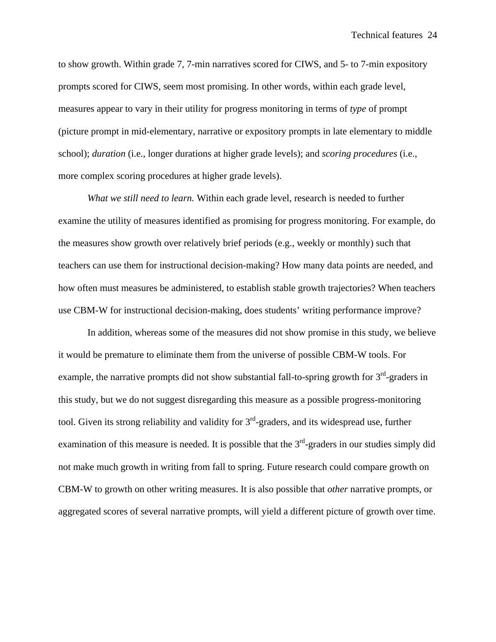to show growth. Within grade 7, 7-min narratives scored for CIWS, and 5- to 7-min expository prompts scored for CIWS, seem most promising. In other words, within each grade level, measures appear to vary in their utility for progress monitoring in terms of *type* of prompt (picture prompt in mid-elementary, narrative or expository prompts in late elementary to middle school); *duration* (i.e., longer durations at higher grade levels); and *scoring procedures* (i.e., more complex scoring procedures at higher grade levels).

*What we still need to learn.* Within each grade level, research is needed to further examine the utility of measures identified as promising for progress monitoring. For example, do the measures show growth over relatively brief periods (e.g., weekly or monthly) such that teachers can use them for instructional decision-making? How many data points are needed, and how often must measures be administered, to establish stable growth trajectories? When teachers use CBM-W for instructional decision-making, does students' writing performance improve?

In addition, whereas some of the measures did not show promise in this study, we believe it would be premature to eliminate them from the universe of possible CBM-W tools. For example, the narrative prompts did not show substantial fall-to-spring growth for  $3<sup>rd</sup>$ -graders in this study, but we do not suggest disregarding this measure as a possible progress-monitoring tool. Given its strong reliability and validity for  $3<sup>rd</sup>$ -graders, and its widespread use, further examination of this measure is needed. It is possible that the  $3<sup>rd</sup>$ -graders in our studies simply did not make much growth in writing from fall to spring. Future research could compare growth on CBM-W to growth on other writing measures. It is also possible that *other* narrative prompts, or aggregated scores of several narrative prompts, will yield a different picture of growth over time.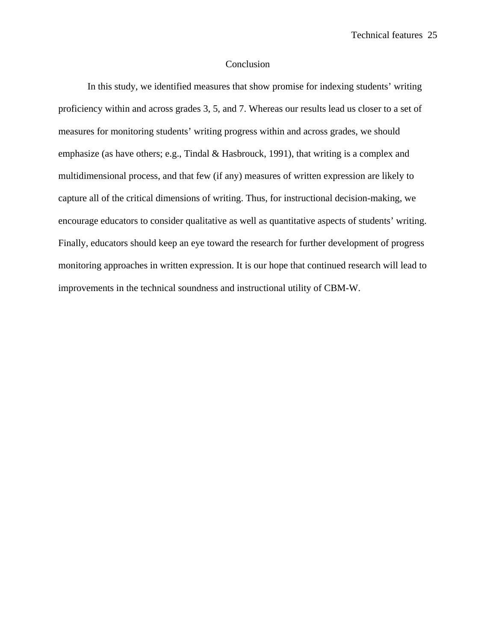#### Conclusion

In this study, we identified measures that show promise for indexing students' writing proficiency within and across grades 3, 5, and 7. Whereas our results lead us closer to a set of measures for monitoring students' writing progress within and across grades, we should emphasize (as have others; e.g., Tindal & Hasbrouck, 1991), that writing is a complex and multidimensional process, and that few (if any) measures of written expression are likely to capture all of the critical dimensions of writing. Thus, for instructional decision-making, we encourage educators to consider qualitative as well as quantitative aspects of students' writing. Finally, educators should keep an eye toward the research for further development of progress monitoring approaches in written expression. It is our hope that continued research will lead to improvements in the technical soundness and instructional utility of CBM-W.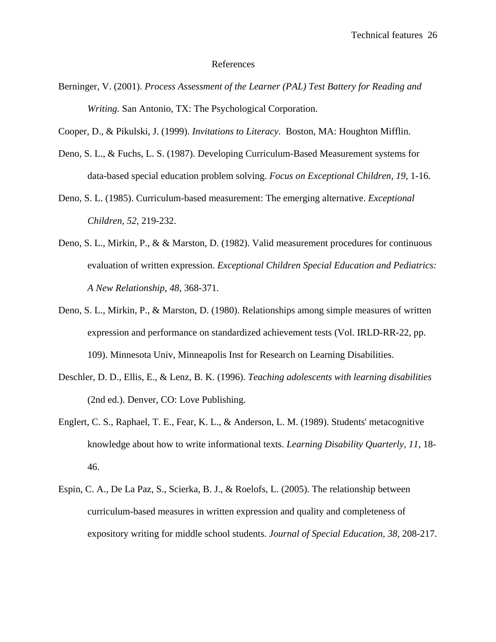#### References

- Berninger, V. (2001). *Process Assessment of the Learner (PAL) Test Battery for Reading and Writing.* San Antonio, TX: The Psychological Corporation.
- Cooper, D., & Pikulski, J. (1999). *Invitations to Literacy.* Boston, MA: Houghton Mifflin.
- Deno, S. L., & Fuchs, L. S. (1987). Developing Curriculum-Based Measurement systems for data-based special education problem solving. *Focus on Exceptional Children, 19*, 1-16.
- Deno, S. L. (1985). Curriculum-based measurement: The emerging alternative. *Exceptional Children, 52*, 219-232.
- Deno, S. L., Mirkin, P., & & Marston, D. (1982). Valid measurement procedures for continuous evaluation of written expression. *Exceptional Children Special Education and Pediatrics: A New Relationship, 48*, 368-371.
- Deno, S. L., Mirkin, P., & Marston, D. (1980). Relationships among simple measures of written expression and performance on standardized achievement tests (Vol. IRLD-RR-22, pp. 109). Minnesota Univ, Minneapolis Inst for Research on Learning Disabilities.
- Deschler, D. D., Ellis, E., & Lenz, B. K. (1996). *Teaching adolescents with learning disabilities* (2nd ed.). Denver, CO: Love Publishing.
- Englert, C. S., Raphael, T. E., Fear, K. L., & Anderson, L. M. (1989). Students' metacognitive knowledge about how to write informational texts. *Learning Disability Quarterly, 11*, 18- 46.
- Espin, C. A., De La Paz, S., Scierka, B. J., & Roelofs, L. (2005). The relationship between curriculum-based measures in written expression and quality and completeness of expository writing for middle school students. *Journal of Special Education, 38*, 208-217.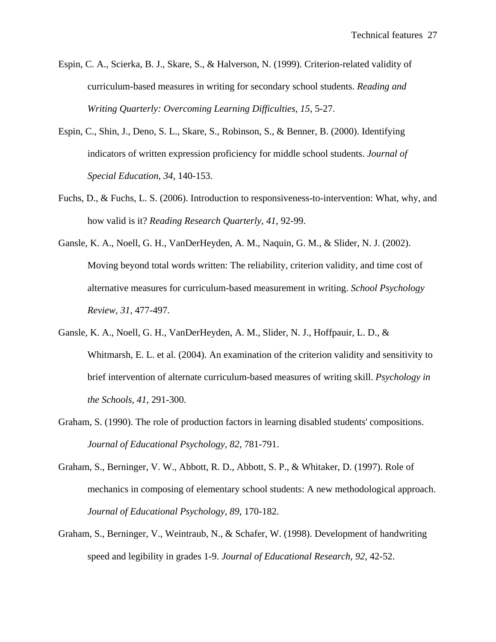- Espin, C. A., Scierka, B. J., Skare, S., & Halverson, N. (1999). Criterion-related validity of curriculum-based measures in writing for secondary school students. *Reading and Writing Quarterly: Overcoming Learning Difficulties, 15*, 5-27.
- Espin, C., Shin, J., Deno, S. L., Skare, S., Robinson, S., & Benner, B. (2000). Identifying indicators of written expression proficiency for middle school students. *Journal of Special Education, 34*, 140-153.
- Fuchs, D., & Fuchs, L. S. (2006). Introduction to responsiveness-to-intervention: What, why, and how valid is it? *Reading Research Quarterly, 41*, 92-99.
- Gansle, K. A., Noell, G. H., VanDerHeyden, A. M., Naquin, G. M., & Slider, N. J. (2002). Moving beyond total words written: The reliability, criterion validity, and time cost of alternative measures for curriculum-based measurement in writing. *School Psychology Review, 31*, 477-497.
- Gansle, K. A., Noell, G. H., VanDerHeyden, A. M., Slider, N. J., Hoffpauir, L. D., & Whitmarsh, E. L. et al. (2004). An examination of the criterion validity and sensitivity to brief intervention of alternate curriculum-based measures of writing skill. *Psychology in the Schools, 41*, 291-300.
- Graham, S. (1990). The role of production factors in learning disabled students' compositions. *Journal of Educational Psychology, 82*, 781-791.
- Graham, S., Berninger, V. W., Abbott, R. D., Abbott, S. P., & Whitaker, D. (1997). Role of mechanics in composing of elementary school students: A new methodological approach. *Journal of Educational Psychology, 89*, 170-182.
- Graham, S., Berninger, V., Weintraub, N., & Schafer, W. (1998). Development of handwriting speed and legibility in grades 1-9. *Journal of Educational Research, 92*, 42-52.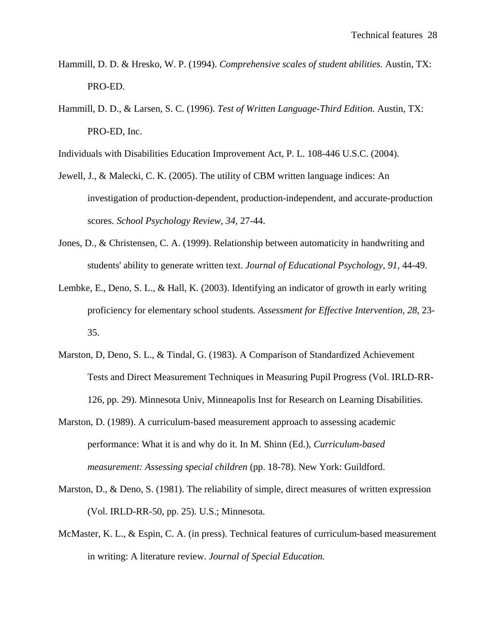- Hammill, D. D. & Hresko, W. P. (1994). *Comprehensive scales of student abilities.* Austin, TX: PRO-ED.
- Hammill, D. D., & Larsen, S. C. (1996). *Test of Written Language-Third Edition.* Austin, TX: PRO-ED, Inc.

Individuals with Disabilities Education Improvement Act, P. L. 108-446 U.S.C. (2004).

- Jewell, J., & Malecki, C. K. (2005). The utility of CBM written language indices: An investigation of production-dependent, production-independent, and accurate-production scores. *School Psychology Review, 34*, 27-44.
- Jones, D., & Christensen, C. A. (1999). Relationship between automaticity in handwriting and students' ability to generate written text. *Journal of Educational Psychology, 91*, 44-49.
- Lembke, E., Deno, S. L., & Hall, K. (2003). Identifying an indicator of growth in early writing proficiency for elementary school students*. Assessment for Effective Intervention, 28*, 23- 35.
- Marston, D, Deno, S. L., & Tindal, G. (1983). A Comparison of Standardized Achievement Tests and Direct Measurement Techniques in Measuring Pupil Progress (Vol. IRLD-RR-126, pp. 29). Minnesota Univ, Minneapolis Inst for Research on Learning Disabilities.
- Marston, D. (1989). A curriculum-based measurement approach to assessing academic performance: What it is and why do it. In M. Shinn (Ed.), *Curriculum-based measurement: Assessing special children* (pp. 18-78). New York: Guildford.
- Marston, D., & Deno, S. (1981). The reliability of simple, direct measures of written expression (Vol. IRLD-RR-50, pp. 25). U.S.; Minnesota.
- McMaster, K. L., & Espin, C. A. (in press). Technical features of curriculum-based measurement in writing: A literature review. *Journal of Special Education.*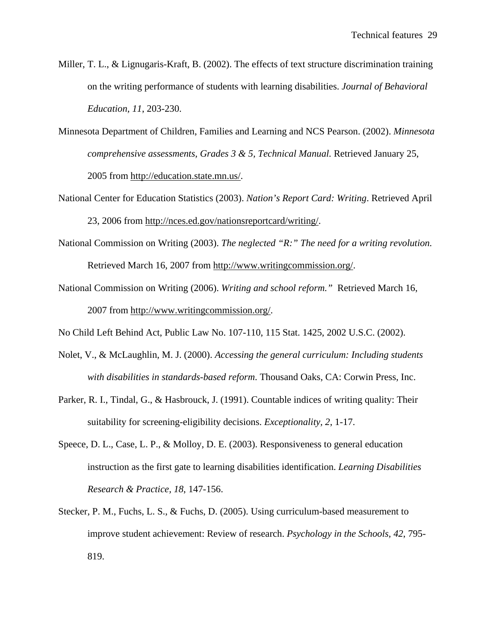- Miller, T. L., & Lignugaris-Kraft, B. (2002). The effects of text structure discrimination training on the writing performance of students with learning disabilities. *Journal of Behavioral Education, 11*, 203-230.
- Minnesota Department of Children, Families and Learning and NCS Pearson. (2002). *Minnesota comprehensive assessments, Grades 3 & 5, Technical Manual.* Retrieved January 25, 2005 from http://education.state.mn.us/.
- National Center for Education Statistics (2003). *Nation's Report Card: Writing*. Retrieved April 23, 2006 from http://nces.ed.gov/nationsreportcard/writing/.
- National Commission on Writing (2003). *The neglected "R:" The need for a writing revolution.* Retrieved March 16, 2007 from http://www.writingcommission.org/.
- National Commission on Writing (2006). *Writing and school reform."* Retrieved March 16, 2007 from http://www.writingcommission.org/.

No Child Left Behind Act, Public Law No. 107-110, 115 Stat. 1425, 2002 U.S.C. (2002).

- Nolet, V., & McLaughlin, M. J. (2000). *Accessing the general curriculum: Including students with disabilities in standards-based reform*. Thousand Oaks, CA: Corwin Press, Inc.
- Parker, R. I., Tindal, G., & Hasbrouck, J. (1991). Countable indices of writing quality: Their suitability for screening-eligibility decisions. *Exceptionality, 2*, 1-17.
- Speece, D. L., Case, L. P., & Molloy, D. E. (2003). Responsiveness to general education instruction as the first gate to learning disabilities identification. *Learning Disabilities Research & Practice, 18*, 147-156.
- Stecker, P. M., Fuchs, L. S., & Fuchs, D. (2005). Using curriculum-based measurement to improve student achievement: Review of research. *Psychology in the Schools, 42*, 795- 819.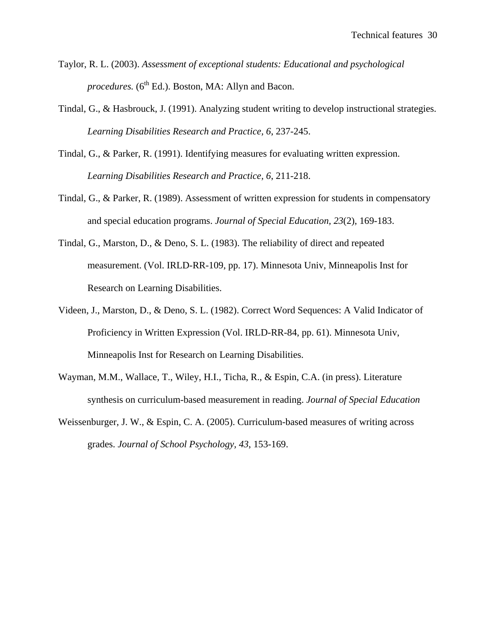- Taylor, R. L. (2003). *Assessment of exceptional students: Educational and psychological procedures.* (6<sup>th</sup> Ed.). Boston, MA: Allyn and Bacon.
- Tindal, G., & Hasbrouck, J. (1991). Analyzing student writing to develop instructional strategies. *Learning Disabilities Research and Practice, 6*, 237-245.
- Tindal, G., & Parker, R. (1991). Identifying measures for evaluating written expression. *Learning Disabilities Research and Practice, 6*, 211-218.
- Tindal, G., & Parker, R. (1989). Assessment of written expression for students in compensatory and special education programs. *Journal of Special Education, 23*(2), 169-183.
- Tindal, G., Marston, D., & Deno, S. L. (1983). The reliability of direct and repeated measurement. (Vol. IRLD-RR-109, pp. 17). Minnesota Univ, Minneapolis Inst for Research on Learning Disabilities.
- Videen, J., Marston, D., & Deno, S. L. (1982). Correct Word Sequences: A Valid Indicator of Proficiency in Written Expression (Vol. IRLD-RR-84, pp. 61). Minnesota Univ, Minneapolis Inst for Research on Learning Disabilities.
- Wayman, M.M., Wallace, T., Wiley, H.I., Ticha, R., & Espin, C.A. (in press). Literature synthesis on curriculum-based measurement in reading. *Journal of Special Education*
- Weissenburger, J. W., & Espin, C. A. (2005). Curriculum-based measures of writing across grades. *Journal of School Psychology, 43*, 153-169.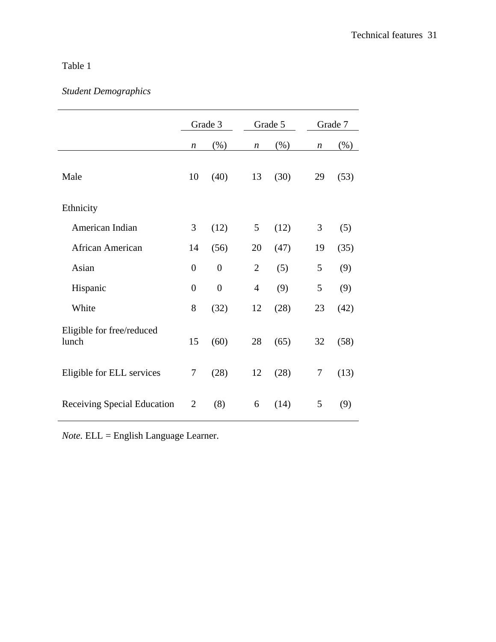## *Student Demographics*

|                                    | Grade 3          |                |                  | Grade 5 |                  | Grade 7 |
|------------------------------------|------------------|----------------|------------------|---------|------------------|---------|
|                                    | $\boldsymbol{n}$ | $(\% )$        | $\boldsymbol{n}$ | $(\%)$  | $\boldsymbol{n}$ | $(\%)$  |
| Male                               | 10               | (40)           | 13               | (30)    | 29               | (53)    |
| Ethnicity                          |                  |                |                  |         |                  |         |
| American Indian                    | 3                | (12)           | 5                | (12)    | 3                | (5)     |
| African American                   | 14               | (56)           | 20               | (47)    | 19               | (35)    |
| Asian                              | $\boldsymbol{0}$ | $\overline{0}$ | $\overline{2}$   | (5)     | 5                | (9)     |
| Hispanic                           | $\overline{0}$   | $\overline{0}$ | $\overline{4}$   | (9)     | 5                | (9)     |
| White                              | 8                | (32)           | 12               | (28)    | 23               | (42)    |
| Eligible for free/reduced<br>lunch | 15               | (60)           | 28               | (65)    | 32               | (58)    |
| Eligible for ELL services          | 7                | (28)           | 12               | (28)    | 7                | (13)    |
| Receiving Special Education        | $\overline{2}$   | (8)            | 6                | (14)    | 5                | (9)     |

*Note.* ELL = English Language Learner.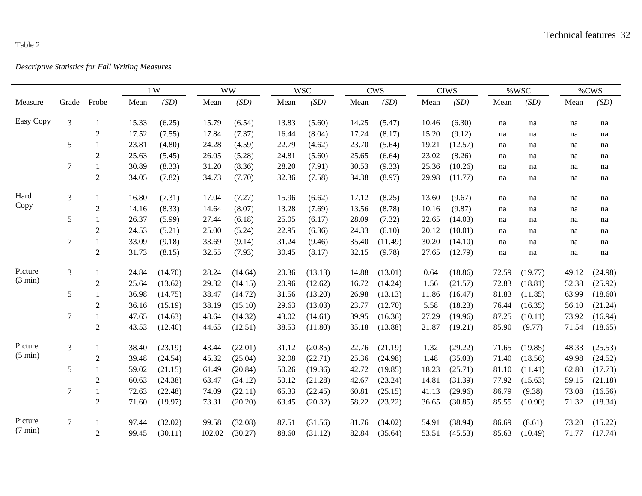#### *Descriptive Statistics for Fall Writing Measures*

|                   |                |                |       | LW      |        | <b>WW</b> |       | <b>WSC</b> |       | <b>CWS</b> |       | <b>CIWS</b> |       | %WSC    |       | %CWS    |
|-------------------|----------------|----------------|-------|---------|--------|-----------|-------|------------|-------|------------|-------|-------------|-------|---------|-------|---------|
| Measure           | Grade          | Probe          | Mean  | (SD)    | Mean   | (SD)      | Mean  | (SD)       | Mean  | (SD)       | Mean  | (SD)        | Mean  | (SD)    | Mean  | (SD)    |
|                   |                |                |       |         |        |           |       |            |       |            |       |             |       |         |       |         |
| Easy Copy         | 3              |                | 15.33 | (6.25)  | 15.79  | (6.54)    | 13.83 | (5.60)     | 14.25 | (5.47)     | 10.46 | (6.30)      | na    | na      | na    | na      |
|                   |                | $\mathfrak{2}$ | 17.52 | (7.55)  | 17.84  | (7.37)    | 16.44 | (8.04)     | 17.24 | (8.17)     | 15.20 | (9.12)      | na    | na      | na    | na      |
|                   | 5              | 1              | 23.81 | (4.80)  | 24.28  | (4.59)    | 22.79 | (4.62)     | 23.70 | (5.64)     | 19.21 | (12.57)     | na    | na      | na    | na      |
|                   |                | $\overline{2}$ | 25.63 | (5.45)  | 26.05  | (5.28)    | 24.81 | (5.60)     | 25.65 | (6.64)     | 23.02 | (8.26)      | na    | na      | na    | na      |
|                   | $\overline{7}$ | $\mathbf{1}$   | 30.89 | (8.33)  | 31.20  | (8.36)    | 28.20 | (7.91)     | 30.53 | (9.33)     | 25.36 | (10.26)     | na    | na      | na    | na      |
|                   |                | $\overline{2}$ | 34.05 | (7.82)  | 34.73  | (7.70)    | 32.36 | (7.58)     | 34.38 | (8.97)     | 29.98 | (11.77)     | na    | na      | na    | na      |
| Hard              | 3              |                | 16.80 | (7.31)  | 17.04  | (7.27)    | 15.96 | (6.62)     | 17.12 | (8.25)     | 13.60 | (9.67)      | na    | na      | na    | na      |
| Copy              |                | $\overline{2}$ | 14.16 | (8.33)  | 14.64  | (8.07)    | 13.28 | (7.69)     | 13.56 | (8.78)     | 10.16 | (9.87)      | na    | na      | na    | na      |
|                   | 5              |                | 26.37 | (5.99)  | 27.44  | (6.18)    | 25.05 | (6.17)     | 28.09 | (7.32)     | 22.65 | (14.03)     | na    | na      | na    | na      |
|                   |                | $\overline{2}$ | 24.53 | (5.21)  | 25.00  | (5.24)    | 22.95 | (6.36)     | 24.33 | (6.10)     | 20.12 | (10.01)     | na    | na      | na    | na      |
|                   | $\overline{7}$ | $\overline{1}$ | 33.09 | (9.18)  | 33.69  | (9.14)    | 31.24 | (9.46)     | 35.40 | (11.49)    | 30.20 | (14.10)     | na    | na      | na    | na      |
|                   |                | $\mathfrak{2}$ | 31.73 | (8.15)  | 32.55  | (7.93)    | 30.45 | (8.17)     | 32.15 | (9.78)     | 27.65 | (12.79)     | na    | na      | na    | na      |
| Picture           | 3              |                | 24.84 | (14.70) | 28.24  | (14.64)   | 20.36 | (13.13)    | 14.88 | (13.01)    | 0.64  | (18.86)     | 72.59 | (19.77) | 49.12 | (24.98) |
| $(3 \text{ min})$ |                | $\mathfrak{2}$ | 25.64 | (13.62) | 29.32  | (14.15)   | 20.96 | (12.62)    | 16.72 | (14.24)    | 1.56  | (21.57)     | 72.83 | (18.81) | 52.38 | (25.92) |
|                   | 5              |                | 36.98 | (14.75) | 38.47  | (14.72)   | 31.56 | (13.20)    | 26.98 | (13.13)    | 11.86 | (16.47)     | 81.83 | (11.85) | 63.99 | (18.60) |
|                   |                | $\mathfrak{2}$ | 36.16 | (15.19) | 38.19  | (15.10)   | 29.63 | (13.03)    | 23.77 | (12.70)    | 5.58  | (18.23)     | 76.44 | (16.35) | 56.10 | (21.24) |
|                   | $\tau$         |                | 47.65 | (14.63) | 48.64  | (14.32)   | 43.02 | (14.61)    | 39.95 | (16.36)    | 27.29 | (19.96)     | 87.25 | (10.11) | 73.92 | (16.94) |
|                   |                | $\overline{2}$ | 43.53 | (12.40) | 44.65  | (12.51)   | 38.53 | (11.80)    | 35.18 | (13.88)    | 21.87 | (19.21)     | 85.90 | (9.77)  | 71.54 | (18.65) |
| Picture           | 3              |                | 38.40 | (23.19) | 43.44  | (22.01)   | 31.12 | (20.85)    | 22.76 | (21.19)    | 1.32  | (29.22)     | 71.65 | (19.85) | 48.33 | (25.53) |
| $(5 \text{ min})$ |                | $\overline{2}$ | 39.48 | (24.54) | 45.32  | (25.04)   | 32.08 | (22.71)    | 25.36 | (24.98)    | 1.48  | (35.03)     | 71.40 | (18.56) | 49.98 | (24.52) |
|                   | 5              |                | 59.02 | (21.15) | 61.49  | (20.84)   | 50.26 | (19.36)    | 42.72 | (19.85)    | 18.23 | (25.71)     | 81.10 | (11.41) | 62.80 | (17.73) |
|                   |                | $\overline{2}$ | 60.63 | (24.38) | 63.47  | (24.12)   | 50.12 | (21.28)    | 42.67 | (23.24)    | 14.81 | (31.39)     | 77.92 | (15.63) | 59.15 | (21.18) |
|                   | 7              |                | 72.63 | (22.48) | 74.09  | (22.11)   | 65.33 | (22.45)    | 60.81 | (25.15)    | 41.13 | (29.96)     | 86.79 | (9.38)  | 73.08 | (16.56) |
|                   |                | $\overline{2}$ | 71.60 | (19.97) | 73.31  | (20.20)   | 63.45 | (20.32)    | 58.22 | (23.22)    | 36.65 | (30.85)     | 85.55 | (10.90) | 71.32 | (18.34) |
|                   |                |                |       |         |        |           |       |            |       |            |       |             |       |         |       |         |
| Picture           | 7              |                | 97.44 | (32.02) | 99.58  | (32.08)   | 87.51 | (31.56)    | 81.76 | (34.02)    | 54.91 | (38.94)     | 86.69 | (8.61)  | 73.20 | (15.22) |
| $(7 \text{ min})$ |                | $\overline{2}$ | 99.45 | (30.11) | 102.02 | (30.27)   | 88.60 | (31.12)    | 82.84 | (35.64)    | 53.51 | (45.53)     | 85.63 | (10.49) | 71.77 | (17.74) |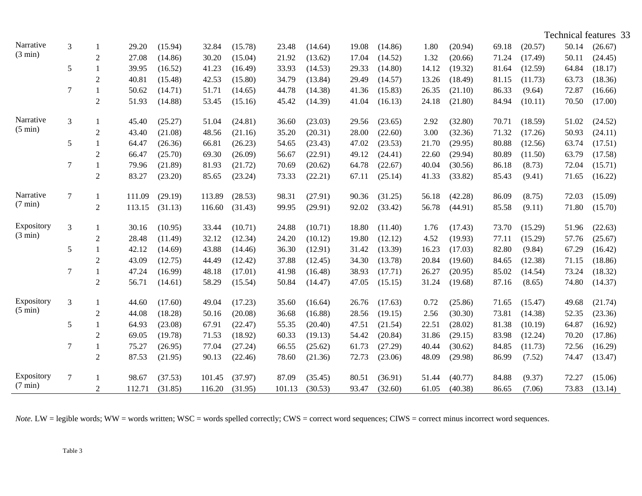|                   |                |                |        |         |        |         |        |         |       |         |       |         |       |         | Technical features 33 |         |  |
|-------------------|----------------|----------------|--------|---------|--------|---------|--------|---------|-------|---------|-------|---------|-------|---------|-----------------------|---------|--|
| Narrative         | 3              |                | 29.20  | (15.94) | 32.84  | (15.78) | 23.48  | (14.64) | 19.08 | (14.86) | 1.80  | (20.94) | 69.18 | (20.57) | 50.14                 | (26.67) |  |
| $(3 \text{ min})$ |                | $\overline{2}$ | 27.08  | (14.86) | 30.20  | (15.04) | 21.92  | (13.62) | 17.04 | (14.52) | 1.32  | (20.66) | 71.24 | (17.49) | 50.11                 | (24.45) |  |
|                   | 5              |                | 39.95  | (16.52) | 41.23  | (16.49) | 33.93  | (14.53) | 29.33 | (14.80) | 14.12 | (19.32) | 81.64 | (12.59) | 64.84                 | (18.17) |  |
|                   |                | 2              | 40.81  | (15.48) | 42.53  | (15.80) | 34.79  | (13.84) | 29.49 | (14.57) | 13.26 | (18.49) | 81.15 | (11.73) | 63.73                 | (18.36) |  |
|                   | 7              |                | 50.62  | (14.71) | 51.71  | (14.65) | 44.78  | (14.38) | 41.36 | (15.83) | 26.35 | (21.10) | 86.33 | (9.64)  | 72.87                 | (16.66) |  |
|                   |                | $\overline{2}$ | 51.93  | (14.88) | 53.45  | (15.16) | 45.42  | (14.39) | 41.04 | (16.13) | 24.18 | (21.80) | 84.94 | (10.11) | 70.50                 | (17.00) |  |
| Narrative         | $\mathfrak{Z}$ |                | 45.40  | (25.27) | 51.04  | (24.81) | 36.60  | (23.03) | 29.56 | (23.65) | 2.92  | (32.80) | 70.71 | (18.59) | 51.02                 | (24.52) |  |
| $(5 \text{ min})$ |                | $\overline{2}$ | 43.40  | (21.08) | 48.56  | (21.16) | 35.20  | (20.31) | 28.00 | (22.60) | 3.00  | (32.36) | 71.32 | (17.26) | 50.93                 | (24.11) |  |
|                   | 5              |                | 64.47  | (26.36) | 66.81  | (26.23) | 54.65  | (23.43) | 47.02 | (23.53) | 21.70 | (29.95) | 80.88 | (12.56) | 63.74                 | (17.51) |  |
|                   |                | $\overline{2}$ | 66.47  | (25.70) | 69.30  | (26.09) | 56.67  | (22.91) | 49.12 | (24.41) | 22.60 | (29.94) | 80.89 | (11.50) | 63.79                 | (17.58) |  |
|                   | $\overline{7}$ |                | 79.96  | (21.89) | 81.93  | (21.72) | 70.69  | (20.62) | 64.78 | (22.67) | 40.04 | (30.56) | 86.18 | (8.73)  | 72.04                 | (15.71) |  |
|                   |                | $\overline{2}$ | 83.27  | (23.20) | 85.65  | (23.24) | 73.33  | (22.21) | 67.11 | (25.14) | 41.33 | (33.82) | 85.43 | (9.41)  | 71.65                 | (16.22) |  |
| Narrative         | $\tau$         |                | 111.09 | (29.19) | 113.89 | (28.53) | 98.31  | (27.91) | 90.36 | (31.25) | 56.18 | (42.28) | 86.09 | (8.75)  | 72.03                 | (15.09) |  |
| $(7 \text{ min})$ |                | $\overline{2}$ | 113.15 | (31.13) | 116.60 | (31.43) | 99.95  | (29.91) | 92.02 | (33.42) | 56.78 | (44.91) | 85.58 | (9.11)  | 71.80                 | (15.70) |  |
| Expository        | 3              | -1             | 30.16  | (10.95) | 33.44  | (10.71) | 24.88  | (10.71) | 18.80 | (11.40) | 1.76  | (17.43) | 73.70 | (15.29) | 51.96                 | (22.63) |  |
| $(3 \text{ min})$ |                | $\overline{2}$ | 28.48  | (11.49) | 32.12  | (12.34) | 24.20  | (10.12) | 19.80 | (12.12) | 4.52  | (19.93) | 77.11 | (15.29) | 57.76                 | (25.67) |  |
|                   | 5              | $\mathbf{1}$   | 42.12  | (14.69) | 43.88  | (14.46) | 36.30  | (12.91) | 31.42 | (13.39) | 16.23 | (17.03) | 82.80 | (9.84)  | 67.29                 | (16.42) |  |
|                   |                | $\overline{2}$ | 43.09  | (12.75) | 44.49  | (12.42) | 37.88  | (12.45) | 34.30 | (13.78) | 20.84 | (19.60) | 84.65 | (12.38) | 71.15                 | (18.86) |  |
|                   | 7              | -1             | 47.24  | (16.99) | 48.18  | (17.01) | 41.98  | (16.48) | 38.93 | (17.71) | 26.27 | (20.95) | 85.02 | (14.54) | 73.24                 | (18.32) |  |
|                   |                | $\overline{2}$ | 56.71  | (14.61) | 58.29  | (15.54) | 50.84  | (14.47) | 47.05 | (15.15) | 31.24 | (19.68) | 87.16 | (8.65)  | 74.80                 | (14.37) |  |
| Expository        | $\mathfrak{Z}$ |                | 44.60  | (17.60) | 49.04  | (17.23) | 35.60  | (16.64) | 26.76 | (17.63) | 0.72  | (25.86) | 71.65 | (15.47) | 49.68                 | (21.74) |  |
| $(5 \text{ min})$ |                | $\overline{2}$ | 44.08  | (18.28) | 50.16  | (20.08) | 36.68  | (16.88) | 28.56 | (19.15) | 2.56  | (30.30) | 73.81 | (14.38) | 52.35                 | (23.36) |  |
|                   | 5              |                | 64.93  | (23.08) | 67.91  | (22.47) | 55.35  | (20.40) | 47.51 | (21.54) | 22.51 | (28.02) | 81.38 | (10.19) | 64.87                 | (16.92) |  |
|                   |                | $\overline{2}$ | 69.05  | (19.78) | 71.53  | (18.92) | 60.33  | (19.13) | 54.42 | (20.84) | 31.86 | (29.15) | 83.98 | (12.24) | 70.20                 | (17.86) |  |
|                   | $\overline{7}$ |                | 75.27  | (26.95) | 77.04  | (27.24) | 66.55  | (25.62) | 61.73 | (27.29) | 40.44 | (30.62) | 84.85 | (11.73) | 72.56                 | (16.29) |  |
|                   |                | $\overline{2}$ | 87.53  | (21.95) | 90.13  | (22.46) | 78.60  | (21.36) | 72.73 | (23.06) | 48.09 | (29.98) | 86.99 | (7.52)  | 74.47                 | (13.47) |  |
| Expository        | 7              |                | 98.67  | (37.53) | 101.45 | (37.97) | 87.09  | (35.45) | 80.51 | (36.91) | 51.44 | (40.77) | 84.88 | (9.37)  | 72.27                 | (15.06) |  |
| $(7 \text{ min})$ |                | $\overline{2}$ | 112.71 | (31.85) | 116.20 | (31.95) | 101.13 | (30.53) | 93.47 | (32.60) | 61.05 | (40.38) | 86.65 | (7.06)  | 73.83                 | (13.14) |  |

*Note*. LW = legible words; WW = words written; WSC = words spelled correctly; CWS = correct word sequences; CIWS = correct minus incorrect word sequences.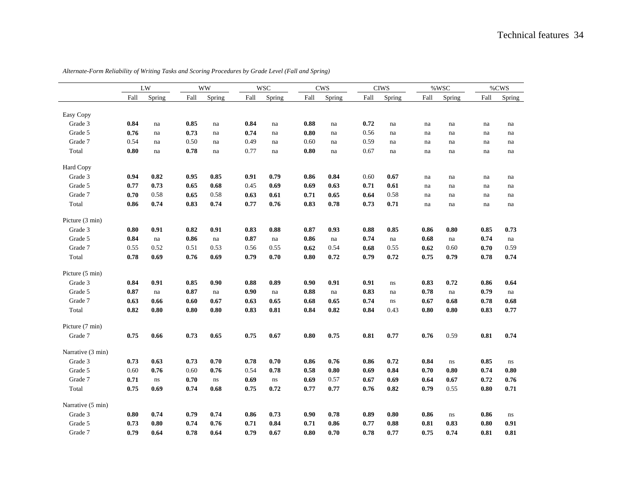|                   |            | LW                  |      | WW       |      | <b>WSC</b> |                     | CWS    |            | <b>CIWS</b> |                     | %WSC                |      | %CWS                |
|-------------------|------------|---------------------|------|----------|------|------------|---------------------|--------|------------|-------------|---------------------|---------------------|------|---------------------|
|                   | Fall       | Spring              | Fall | Spring   | Fall | Spring     | Fall                | Spring | Fall       | Spring      | Fall                | Spring              | Fall | Spring              |
| Easy Copy         |            |                     |      |          |      |            |                     |        |            |             |                     |                     |      |                     |
| Grade 3           | 0.84       | na                  | 0.85 | na       | 0.84 | na         | 0.88                | na     | 0.72       | na          | na                  | na                  | na   | na                  |
| Grade 5           | 0.76       | na                  | 0.73 | na       | 0.74 | na         | $\boldsymbol{0.80}$ | na     | 0.56       | na          | na                  | na                  | na   | na                  |
| Grade 7           | 0.54       | na                  | 0.50 | na       | 0.49 | na         | 0.60                | na     | 0.59       | na          | na                  | na                  | na   | na                  |
| Total             | 0.80       | na                  | 0.78 | na       | 0.77 | na         | 0.80                | na     | 0.67       | na          | na                  | na                  | na   | na                  |
|                   |            |                     |      |          |      |            |                     |        |            |             |                     |                     |      |                     |
| Hard Copy         |            |                     |      |          |      |            |                     |        |            |             |                     |                     |      |                     |
| Grade 3           | 0.94       | 0.82                | 0.95 | 0.85     | 0.91 | 0.79       | 0.86                | 0.84   | 0.60       | 0.67        | na                  | na                  | na   | na                  |
| Grade 5           | 0.77       | 0.73                | 0.65 | 0.68     | 0.45 | 0.69       | 0.69                | 0.63   | 0.71       | 0.61        | na                  | na                  | na   | na                  |
| Grade 7           | 0.70       | 0.58                | 0.65 | 0.58     | 0.63 | 0.61       | 0.71                | 0.65   | 0.64       | 0.58        | na                  | na                  | na   | na                  |
| Total             | 0.86       | 0.74                | 0.83 | 0.74     | 0.77 | 0.76       | 0.83                | 0.78   | 0.73       | 0.71        | na                  | na                  | na   | na                  |
|                   |            |                     |      |          |      |            |                     |        |            |             |                     |                     |      |                     |
| Picture (3 min)   |            |                     |      |          |      |            |                     |        |            |             |                     |                     |      |                     |
| Grade 3           | 0.80       | 0.91                | 0.82 | 0.91     | 0.83 | 0.88       | 0.87                | 0.93   | 0.88       | 0.85        | 0.86                | 0.80                | 0.85 | 0.73                |
| Grade 5           | 0.84       | na                  | 0.86 | na       | 0.87 | na         | 0.86                | na     | 0.74       | na          | 0.68                | na                  | 0.74 | na                  |
| Grade 7           | 0.55       | 0.52                | 0.51 | 0.53     | 0.56 | 0.55       | 0.62                | 0.54   | 0.68       | 0.55        | 0.62                | 0.60                | 0.70 | 0.59                |
| Total             | 0.78       | 0.69                | 0.76 | 0.69     | 0.79 | 0.70       | $\boldsymbol{0.80}$ | 0.72   | 0.79       | 0.72        | 0.75                | 0.79                | 0.78 | 0.74                |
| Picture (5 min)   |            |                     |      |          |      |            |                     |        |            |             |                     |                     |      |                     |
| Grade 3           | 0.84       | 0.91                | 0.85 | 0.90     | 0.88 | 0.89       | 0.90                | 0.91   | 0.91       | $\,ns\,$    | 0.83                | 0.72                | 0.86 | 0.64                |
| Grade 5           | 0.87       | $\operatorname{na}$ | 0.87 | na       | 0.90 | na         | 0.88                | na     | 0.83       | na          | 0.78                | $\operatorname{na}$ | 0.79 | $\operatorname{na}$ |
| Grade 7           | 0.63       | 0.66                | 0.60 | 0.67     | 0.63 | 0.65       | 0.68                | 0.65   | 0.74       | $\rm ns$    | 0.67                | 0.68                | 0.78 | 0.68                |
| Total             | $\bf 0.82$ | 0.80                | 0.80 | 0.80     | 0.83 | 0.81       | 0.84                | 0.82   | 0.84       | 0.43        | $\boldsymbol{0.80}$ | 0.80                | 0.83 | 0.77                |
| Picture (7 min)   |            |                     |      |          |      |            |                     |        |            |             |                     |                     |      |                     |
| Grade 7           | 0.75       | 0.66                | 0.73 | 0.65     | 0.75 | 0.67       | $\boldsymbol{0.80}$ | 0.75   | $\bf 0.81$ | 0.77        | 0.76                | 0.59                | 0.81 | 0.74                |
| Narrative (3 min) |            |                     |      |          |      |            |                     |        |            |             |                     |                     |      |                     |
| Grade 3           | 0.73       | 0.63                | 0.73 | 0.70     | 0.78 | 0.70       | 0.86                | 0.76   | 0.86       | 0.72        | 0.84                | ns                  | 0.85 | ns                  |
| Grade 5           | 0.60       | 0.76                | 0.60 | 0.76     | 0.54 | 0.78       | 0.58                | 0.80   | 0.69       | 0.84        | $0.70\,$            | 0.80                | 0.74 | 0.80                |
| Grade 7           | 0.71       | $\bf ns$            | 0.70 | $\bf ns$ | 0.69 | $\rm ns$   | 0.69                | 0.57   | 0.67       | 0.69        | 0.64                | 0.67                | 0.72 | 0.76                |
| Total             | 0.75       | 0.69                | 0.74 | 0.68     | 0.75 | 0.72       | 0.77                | 0.77   | 0.76       | 0.82        | 0.79                | 0.55                | 0.80 | 0.71                |
| Narrative (5 min) |            |                     |      |          |      |            |                     |        |            |             |                     |                     |      |                     |
| Grade 3           | 0.80       | 0.74                | 0.79 | 0.74     | 0.86 | 0.73       | 0.90                | 0.78   | 0.89       | 0.80        | 0.86                | $\bf ns$            | 0.86 | $\bf ns$            |
| Grade 5           | 0.73       | 0.80                | 0.74 | 0.76     | 0.71 | 0.84       | 0.71                | 0.86   | 0.77       | 0.88        | 0.81                | 0.83                | 0.80 | 0.91                |
| Grade 7           | 0.79       | 0.64                | 0.78 | 0.64     | 0.79 | 0.67       | 0.80                | 0.70   | 0.78       | 0.77        | 0.75                | 0.74                | 0.81 | 0.81                |

*Alternate-Form Reliability of Writing Tasks and Scoring Procedures by Grade Level (Fall and Spring)*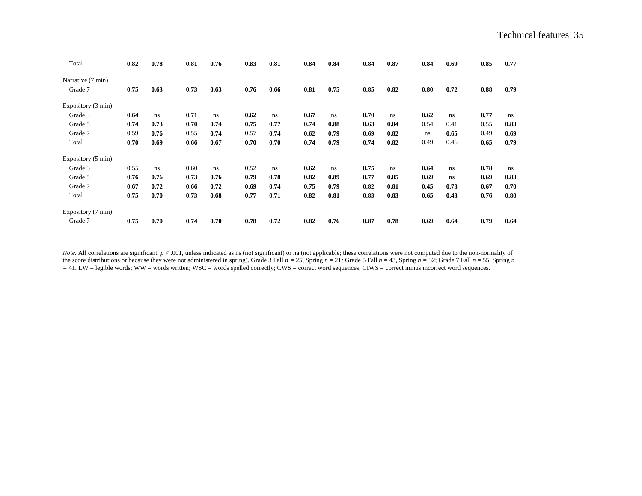| Total              | 0.82 | 0.78 | 0.81 | 0.76 | 0.83 | 0.81 | 0.84 | 0.84 | 0.84 | 0.87 | 0.84 | 0.69 | 0.85 | 0.77          |
|--------------------|------|------|------|------|------|------|------|------|------|------|------|------|------|---------------|
| Narrative (7 min)  |      |      |      |      |      |      |      |      |      |      |      |      |      |               |
| Grade 7            | 0.75 | 0.63 | 0.73 | 0.63 | 0.76 | 0.66 | 0.81 | 0.75 | 0.85 | 0.82 | 0.80 | 0.72 | 0.88 | 0.79          |
| Expository (3 min) |      |      |      |      |      |      |      |      |      |      |      |      |      |               |
| Grade 3            | 0.64 | ns   | 0.71 | ns   | 0.62 | ns   | 0.67 | ns   | 0.70 | ns   | 0.62 | ns   | 0.77 | ns            |
| Grade 5            | 0.74 | 0.73 | 0.70 | 0.74 | 0.75 | 0.77 | 0.74 | 0.88 | 0.63 | 0.84 | 0.54 | 0.41 | 0.55 | 0.83          |
| Grade 7            | 0.59 | 0.76 | 0.55 | 0.74 | 0.57 | 0.74 | 0.62 | 0.79 | 0.69 | 0.82 | ns   | 0.65 | 0.49 | 0.69          |
| Total              | 0.70 | 0.69 | 0.66 | 0.67 | 0.70 | 0.70 | 0.74 | 0.79 | 0.74 | 0.82 | 0.49 | 0.46 | 0.65 | 0.79          |
| Expository (5 min) |      |      |      |      |      |      |      |      |      |      |      |      |      |               |
| Grade 3            | 0.55 | ns   | 0.60 | ns   | 0.52 | ns   | 0.62 | ns.  | 0.75 | ns   | 0.64 | ns.  | 0.78 | <sub>ns</sub> |
| Grade 5            | 0.76 | 0.76 | 0.73 | 0.76 | 0.79 | 0.78 | 0.82 | 0.89 | 0.77 | 0.85 | 0.69 | ns.  | 0.69 | 0.83          |
| Grade 7            | 0.67 | 0.72 | 0.66 | 0.72 | 0.69 | 0.74 | 0.75 | 0.79 | 0.82 | 0.81 | 0.45 | 0.73 | 0.67 | 0.70          |
| Total              | 0.75 | 0.70 | 0.73 | 0.68 | 0.77 | 0.71 | 0.82 | 0.81 | 0.83 | 0.83 | 0.65 | 0.43 | 0.76 | 0.80          |
| Expository (7 min) |      |      |      |      |      |      |      |      |      |      |      |      |      |               |
| Grade 7            | 0.75 | 0.70 | 0.74 | 0.70 | 0.78 | 0.72 | 0.82 | 0.76 | 0.87 | 0.78 | 0.69 | 0.64 | 0.79 | 0.64          |

*Note.* All correlations are significant,  $p < .001$ , unless indicated as ns (not significant) or na (not applicable; these correlations were not computed due to the non-normality of the score distributions or because they were not administered in spring). Grade 3 Fall  $n = 25$ , Spring  $n = 21$ ; Grade 5 Fall  $n = 43$ , Spring  $n = 32$ ; Grade 7 Fall  $n = 55$ , Spring  $n$ *<sup>=</sup>* 41*.* LW = legible words; WW = words written; WSC = words spelled correctly; CWS = correct word sequences; CIWS = correct minus incorrect word sequences.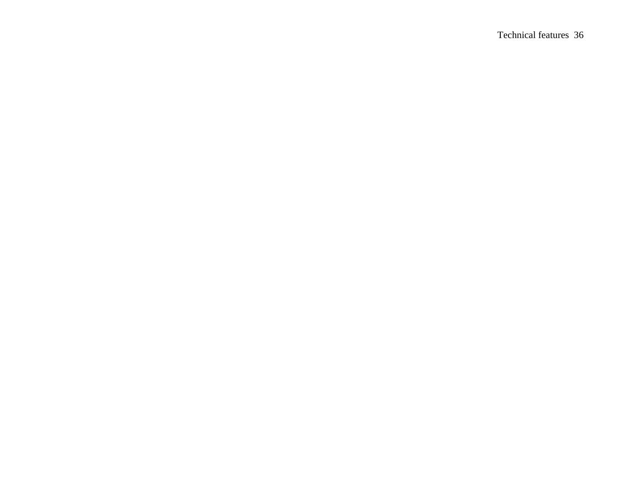Technical features 36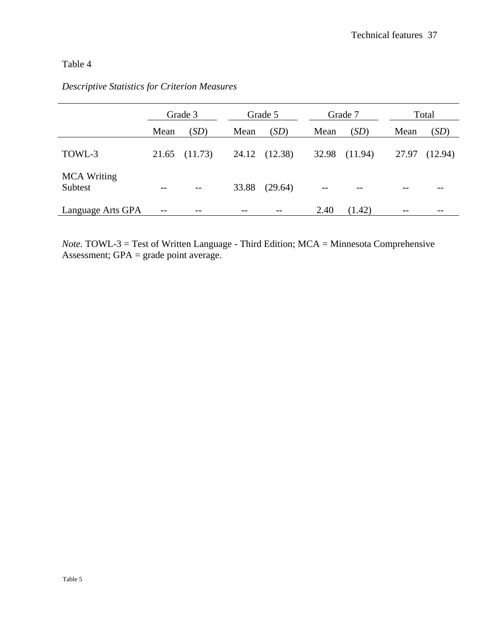|                               |       | Grade 3 |       | Grade 5 |       | Grade 7 |       | Total   |
|-------------------------------|-------|---------|-------|---------|-------|---------|-------|---------|
|                               | Mean  | (SD)    | Mean  | (SD)    | Mean  | (SD)    | Mean  | (SD)    |
| TOWL-3                        | 21.65 | (11.73) | 24.12 | (12.38) | 32.98 | (11.94) | 27.97 | (12.94) |
| <b>MCA Writing</b><br>Subtest |       | $- -$   | 33.88 | (29.64) | $- -$ | --      |       |         |
| Language Arts GPA             |       |         |       |         | 2.40  | (1.42)  |       |         |

### *Descriptive Statistics for Criterion Measures*

*Note.* TOWL-3 = Test of Written Language - Third Edition; MCA = Minnesota Comprehensive Assessment;  $GPA =$  grade point average.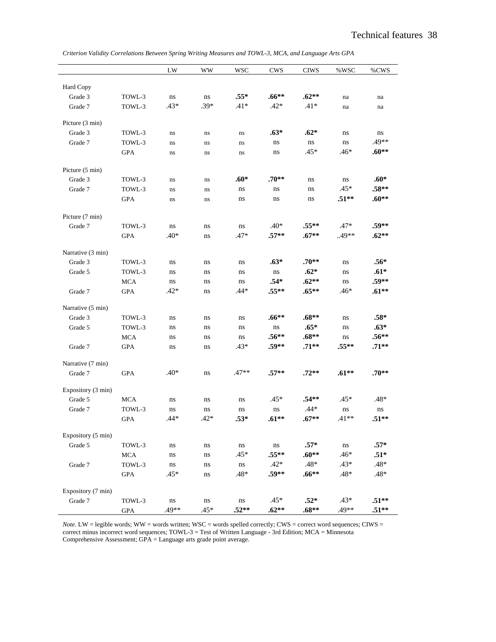| LW<br>ww<br><b>WSC</b><br><b>CWS</b><br><b>CIWS</b>                  | %WSC     | $\%{\rm CWS}$ |
|----------------------------------------------------------------------|----------|---------------|
|                                                                      |          |               |
| Hard Copy                                                            |          |               |
| $.55*$<br>.66**<br>$.62**$<br>Grade 3<br>TOWL-3<br>ns<br>ns          | na       | na            |
| $.43*$<br>$.41*$<br>$.42*$<br>$.41*$<br>$.39*$<br>TOWL-3<br>Grade 7  | na       | na            |
| Picture (3 min)                                                      |          |               |
| $.63*$<br>$.62*$<br>Grade 3<br>TOWL-3<br>ns<br>ns<br>ns              | ns       | ns            |
| Grade 7<br>TOWL-3<br>ns<br>ns<br>ns<br>ns<br>ns                      | ns       | .49**         |
| $.45*$<br><b>GPA</b><br>ns<br>ns<br>ns<br>ns                         | $.46*$   | $.60**$       |
| Picture (5 min)                                                      |          |               |
| .70**<br>Grade 3<br>.60*<br>TOWL-3<br>ns<br>ns<br>ns                 | ns       | $.60*$        |
| Grade 7<br>TOWL-3<br>ns<br>ns<br>ns<br>ns<br>ns                      | $.45*$   | $.58**$       |
| <b>GPA</b><br>ns<br>ns<br>ns                                         | $.51**$  | $.60**$       |
| ns<br>ns                                                             |          |               |
| Picture (7 min)                                                      |          |               |
| $.40*$<br>$.55***$<br>Grade 7<br>TOWL-3<br>ns<br>ns<br>ns            | .47*     | $.59**$       |
| $.57**$<br>$.67**$<br>$.40*$<br>.47*<br><b>GPA</b><br>ns             | $.49**$  | $.62**$       |
| Narrative (3 min)                                                    |          |               |
| $.63*$<br>.70**<br>Grade 3<br>TOWL-3<br>ns<br>ns<br>ns               | ns       | $.56*$        |
| $.62*$<br>Grade 5<br>TOWL-3<br>$\bf ns$<br>ns<br>ns<br>ns            | ns       | $.61*$        |
| $.54*$<br>$.62**$<br><b>MCA</b><br>ns<br>ns<br>ns                    | ns       | $.59**$       |
| $.42*$<br>.44*<br>.55**<br>$.65***$<br><b>GPA</b><br>Grade 7<br>ns   | $.46*$   | $.61**$       |
|                                                                      |          |               |
| Narrative (5 min)                                                    |          |               |
| $.66**$<br>$.68**$<br>Grade 3<br>TOWL-3<br>ns<br>ns<br>ns            | ns       | $.58*$        |
| $.65*$<br>Grade 5<br>TOWL-3<br>ns<br>ns<br>ns<br>ns                  | ns       | $.63*$        |
| $.56**$<br>$.68**$<br><b>MCA</b><br>ns<br>ns<br>ns                   | ns       | $.56**$       |
| $.59**$<br>$.71**$<br>.43*<br><b>GPA</b><br>Grade 7<br>ns<br>ns      | $.55***$ | $.71**$       |
| Narrative (7 min)                                                    |          |               |
| $.47**$<br>$.57**$<br>$.72**$<br>Grade 7<br><b>GPA</b><br>.40*<br>ns | $.61***$ | $.70**$       |
|                                                                      |          |               |
| Expository (3 min)<br>$.45*$<br>.54**<br>$\rm MCA$                   | $.45*$   | .48*          |
| Grade 5<br>ns<br>ns<br>ns                                            |          |               |
| .44*<br>Grade 7<br>TOWL-3<br>ns<br>ns<br>ns<br>ns                    | ns       | ns            |
| $.42*$<br>$.61**$<br>.44*<br>$.53*$<br>.67**<br><b>GPA</b>           | $.41**$  | $.51**$       |
| Expository (5 min)                                                   |          |               |
| $.57*$<br>Grade 5<br>TOWL-3<br>ns<br>ns<br>ns<br>ns                  | ns       | $.57*$        |
| .55**<br>$.60**$<br>$.45*$<br>MCA<br>ns<br>ns                        | $.46*$   | $.51*$        |
| $.48*$<br>Grade 7<br>$.42*$<br>TOWL-3<br>ns<br>ns<br>ns              | $.43*$   | $.48*$        |
| $.48*$<br>$.59**$<br>$.66**$<br>$.45*$<br>GPA<br>ns                  | $.48*$   | $.48*$        |
| Expository (7 min)                                                   |          |               |
| $.45*$<br>$.52*$<br>Grade 7<br>TOWL-3<br>$\bf ns$<br>$\bf ns$<br>ns  | $.43*$   | $.51**$       |
| .49**<br>$.52**$<br>$.68**$<br>.45*<br>$.62**$<br>$\rm GPA$          | .49**    | $.51**$       |

*Criterion Validity Correlations Between Spring Writing Measures and TOWL-3, MCA, and Language Arts GPA* 

*Note.* LW = legible words; WW = words written; WSC = words spelled correctly; CWS = correct word sequences; CIWS = correct minus incorrect word sequences; TOWL-3 = Test of Written Language - 3rd Edition; MCA = Minnesota Comprehensive Assessment; GPA = Language arts grade point average.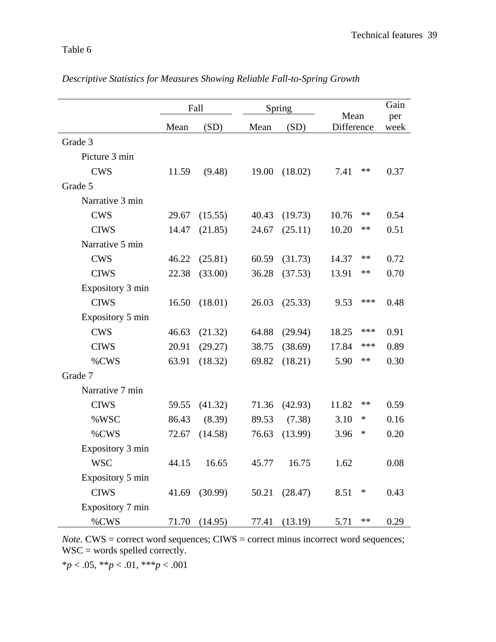|                  |       |         |       |         |            |            | Gain |
|------------------|-------|---------|-------|---------|------------|------------|------|
|                  |       | Fall    |       | Spring  | Mean       |            | per  |
|                  | Mean  | (SD)    | Mean  | (SD)    | Difference |            | week |
| Grade 3          |       |         |       |         |            |            |      |
| Picture 3 min    |       |         |       |         |            |            |      |
| <b>CWS</b>       | 11.59 | (9.48)  | 19.00 | (18.02) | 7.41       | $\ast\ast$ | 0.37 |
| Grade 5          |       |         |       |         |            |            |      |
| Narrative 3 min  |       |         |       |         |            |            |      |
| <b>CWS</b>       | 29.67 | (15.55) | 40.43 | (19.73) | 10.76      | $\ast\ast$ | 0.54 |
| <b>CIWS</b>      | 14.47 | (21.85) | 24.67 | (25.11) | 10.20      | $\ast\ast$ | 0.51 |
| Narrative 5 min  |       |         |       |         |            |            |      |
| <b>CWS</b>       | 46.22 | (25.81) | 60.59 | (31.73) | 14.37      | $\ast\ast$ | 0.72 |
| <b>CIWS</b>      | 22.38 | (33.00) | 36.28 | (37.53) | 13.91      | **         | 0.70 |
| Expository 3 min |       |         |       |         |            |            |      |
| <b>CIWS</b>      | 16.50 | (18.01) | 26.03 | (25.33) | 9.53       | ***        | 0.48 |
| Expository 5 min |       |         |       |         |            |            |      |
| <b>CWS</b>       | 46.63 | (21.32) | 64.88 | (29.94) | 18.25      | ***        | 0.91 |
| <b>CIWS</b>      | 20.91 | (29.27) | 38.75 | (38.69) | 17.84      | ***        | 0.89 |
| %CWS             | 63.91 | (18.32) | 69.82 | (18.21) | 5.90       | **         | 0.30 |
| Grade 7          |       |         |       |         |            |            |      |
| Narrative 7 min  |       |         |       |         |            |            |      |
| <b>CIWS</b>      | 59.55 | (41.32) | 71.36 | (42.93) | 11.82      | $\ast\ast$ | 0.59 |
| %WSC             | 86.43 | (8.39)  | 89.53 | (7.38)  | 3.10       | ∗          | 0.16 |
| %CWS             | 72.67 | (14.58) | 76.63 | (13.99) | 3.96       | $\ast$     | 0.20 |
| Expository 3 min |       |         |       |         |            |            |      |
| <b>WSC</b>       | 44.15 | 16.65   | 45.77 | 16.75   | 1.62       |            | 0.08 |
| Expository 5 min |       |         |       |         |            |            |      |
| <b>CIWS</b>      | 41.69 | (30.99) | 50.21 | (28.47) | 8.51       | $\ast$     | 0.43 |
| Expository 7 min |       |         |       |         |            |            |      |
| %CWS             | 71.70 | (14.95) | 77.41 | (13.19) | 5.71       | $\ast\ast$ | 0.29 |

*Descriptive Statistics for Measures Showing Reliable Fall-to-Spring Growth* 

*Note.* CWS = correct word sequences; CIWS = correct minus incorrect word sequences;  $WSC = words spelled correctly.$ 

\**p* < .05, \*\**p* < .01, \*\*\**p* < .001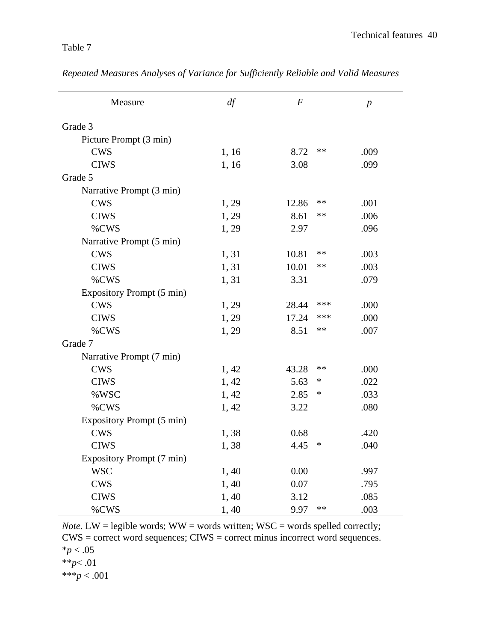| Repeated Measures Analyses of Variance for Sufficiently Reliable and Valid Measures |  |  |
|-------------------------------------------------------------------------------------|--|--|
|                                                                                     |  |  |

| Measure                          | df    | $\boldsymbol{F}$ |                    |
|----------------------------------|-------|------------------|--------------------|
| Grade 3                          |       |                  |                    |
| Picture Prompt (3 min)           |       |                  |                    |
| <b>CWS</b>                       | 1, 16 | 8.72             | **<br>.009         |
| <b>CIWS</b>                      | 1, 16 | 3.08             | .099               |
| Grade 5                          |       |                  |                    |
| Narrative Prompt (3 min)         |       |                  |                    |
| <b>CWS</b>                       | 1, 29 | 12.86            | .001<br>**         |
| <b>CIWS</b>                      | 1,29  | 8.61             | .006<br>**         |
| %CWS                             | 1, 29 | 2.97             | .096               |
| Narrative Prompt (5 min)         |       |                  |                    |
| <b>CWS</b>                       | 1, 31 | 10.81            | .003<br>**         |
| <b>CIWS</b>                      | 1,31  | 10.01            | $***$<br>.003      |
| %CWS                             | 1, 31 | 3.31             | .079               |
| Expository Prompt (5 min)        |       |                  |                    |
| <b>CWS</b>                       | 1, 29 | 28.44            | ***<br>.000        |
| <b>CIWS</b>                      | 1, 29 | 17.24            | ***<br>.000        |
| %CWS                             | 1, 29 | 8.51             | .007<br>**         |
| Grade 7                          |       |                  |                    |
| Narrative Prompt (7 min)         |       |                  |                    |
| <b>CWS</b>                       | 1, 42 | 43.28            | $\ast\ast$<br>.000 |
| <b>CIWS</b>                      | 1,42  | 5.63<br>∗        | .022               |
| %WSC                             | 1,42  | 2.85<br>∗        | .033               |
| %CWS                             | 1,42  | 3.22             | .080               |
| Expository Prompt (5 min)        |       |                  |                    |
| <b>CWS</b>                       | 1,38  | 0.68             | .420               |
| <b>CIWS</b>                      | 1,38  | 4.45<br>∗        | .040               |
| <b>Expository Prompt (7 min)</b> |       |                  |                    |
| <b>WSC</b>                       | 1,40  | 0.00             | .997               |
| <b>CWS</b>                       | 1,40  | 0.07             | .795               |
| <b>CIWS</b>                      | 1,40  | 3.12             | .085               |
| %CWS                             | 1,40  | 9.97             | $\ast\ast$<br>.003 |

*Note.* LW = legible words; WW = words written; WSC = words spelled correctly;  $CWS = correct$  word sequences;  $CIWS = correct$  minus incorrect word sequences.  $*$ *p*  $< .05$ 

\*\**p*< .01

\*\*\**p* < .001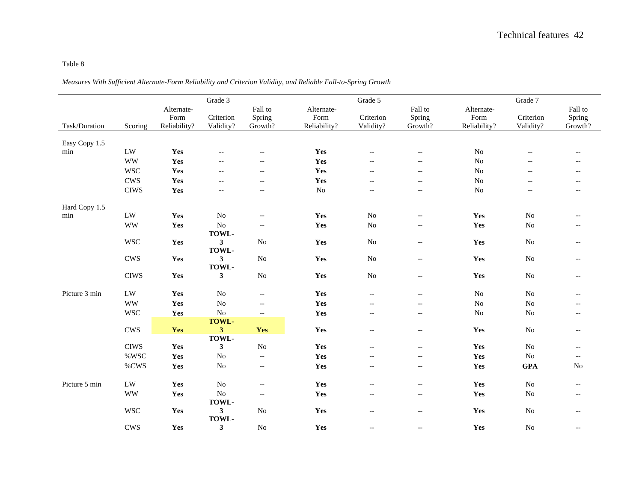#### *Measures With Sufficient Alternate-Form Reliability and Criterion Validity, and Reliable Fall-to-Spring Growth*

|               |                             | Grade 3                            |                          |                              |                                    | Grade 5                                             |                                       |                                    | Grade 7                  |                              |
|---------------|-----------------------------|------------------------------------|--------------------------|------------------------------|------------------------------------|-----------------------------------------------------|---------------------------------------|------------------------------------|--------------------------|------------------------------|
| Task/Duration | Scoring                     | Alternate-<br>Form<br>Reliability? | Criterion<br>Validity?   | Fall to<br>Spring<br>Growth? | Alternate-<br>Form<br>Reliability? | Criterion<br>Validity?                              | Fall to<br>Spring<br>Growth?          | Alternate-<br>Form<br>Reliability? | Criterion<br>Validity?   | Fall to<br>Spring<br>Growth? |
|               |                             |                                    |                          |                              |                                    |                                                     |                                       |                                    |                          |                              |
| Easy Copy 1.5 |                             |                                    |                          |                              |                                    |                                                     |                                       |                                    |                          |                              |
| min           | LW                          | Yes                                | $\overline{\phantom{a}}$ | $\overline{\phantom{m}}$     | Yes                                | $\hspace{0.05cm} -\hspace{0.05cm} -\hspace{0.05cm}$ | $\overline{\phantom{a}}$              | No                                 | $\overline{\phantom{m}}$ | $- -$                        |
|               | <b>WW</b>                   | Yes                                | $-$                      | $-$                          | Yes                                | $\overline{\phantom{a}}$                            | $\overline{\phantom{a}}$              | N <sub>o</sub>                     | $\overline{\phantom{a}}$ | $- -$                        |
|               | <b>WSC</b>                  | Yes                                | $- -$                    | $\overline{\phantom{a}}$     | Yes                                | $\overline{\phantom{a}}$                            | $-\, -$                               | N <sub>o</sub>                     | $\overline{\phantom{m}}$ | $- -$                        |
|               | $\mathrm{CWS}$              | Yes                                | $\overline{\phantom{a}}$ | $\overline{\phantom{a}}$     | Yes                                | $\overline{\phantom{a}}$                            | $\overline{\phantom{a}}$              | N <sub>o</sub>                     | $\overline{\phantom{a}}$ | $\overline{\phantom{a}}$     |
|               | <b>CIWS</b>                 | Yes                                | $\overline{\phantom{a}}$ | $\overline{\phantom{m}}$     | ${\rm No}$                         | $\overline{\phantom{m}}$                            | $\overline{\phantom{a}}$              | $\rm No$                           | $\overline{\phantom{m}}$ | $\overline{\phantom{a}}$     |
| Hard Copy 1.5 |                             |                                    |                          |                              |                                    |                                                     |                                       |                                    |                          |                              |
| min           | LW                          | Yes                                | No                       | $\overline{\phantom{m}}$     | Yes                                | No                                                  | $-\, -$                               | Yes                                | No                       | $- -$                        |
|               | <b>WW</b>                   | Yes                                | $\rm No$<br>TOWL-        | $\overline{\phantom{a}}$     | Yes                                | No                                                  | $-\, -$                               | Yes                                | No                       | $- -$                        |
|               | <b>WSC</b>                  | Yes                                | $\mathbf{3}$<br>TOWL-    | N <sub>0</sub>               | Yes                                | $\rm No$                                            | $\overline{\phantom{a}}$              | Yes                                | N <sub>o</sub>           | $--$                         |
|               | $\ensuremath{\mathrm{CWS}}$ | Yes                                | 3 <sup>1</sup><br>TOWL-  | $\rm No$                     | Yes                                | $\rm No$                                            | $\overline{\phantom{a}}$              | Yes                                | No                       | $\overline{\phantom{a}}$     |
|               | <b>CIWS</b>                 | Yes                                | $\mathbf{3}$             | $\rm No$                     | Yes                                | $\rm No$                                            | $- -$                                 | Yes                                | N <sub>o</sub>           | $\overline{\phantom{m}}$     |
| Picture 3 min | LW                          | Yes                                | No                       | $\overline{\phantom{m}}$     | Yes                                | $\hspace{0.05cm} -\hspace{0.05cm} -\hspace{0.05cm}$ | $\overline{\phantom{a}}$              | No                                 | No                       | $- -$                        |
|               | <b>WW</b>                   | Yes                                | No                       | $-$                          | Yes                                | $\overline{\phantom{m}}$                            | $\overline{\phantom{a}}$              | N <sub>o</sub>                     | <b>No</b>                | $- -$                        |
|               | <b>WSC</b>                  | Yes                                | $\rm No$                 | $- -$                        | Yes                                | $\overline{\phantom{m}}$                            | $-\, -$                               | No                                 | No                       | $- -$                        |
|               |                             |                                    | TOWL-                    |                              |                                    |                                                     |                                       |                                    |                          |                              |
|               | <b>CWS</b>                  | Yes                                | 3 <sup>7</sup>           | Yes                          | Yes                                | $\overline{\phantom{a}}$                            | $-\, -$                               | Yes                                | No                       | $\overline{\phantom{a}}$     |
|               | $\rm C IWS$                 | Yes                                | TOWL-<br>3               | $\rm No$                     | Yes                                | $\overline{\phantom{a}}$                            | $\hspace{0.05cm}$ – $\hspace{0.05cm}$ | Yes                                | No                       | $\overline{\phantom{m}}$     |
|               | %WSC                        | Yes                                | $\rm No$                 | $- -$                        | Yes                                | $\overline{\phantom{a}}$                            | $\hspace{0.05cm}$ – $\hspace{0.05cm}$ | Yes                                | No                       | $\overline{\phantom{m}}$     |
|               | %CWS                        | Yes                                | $\rm No$                 | $-\, -$                      | Yes                                | $\overline{\phantom{a}}$                            | $\hspace{0.05cm}$ – $\hspace{0.05cm}$ | Yes                                | <b>GPA</b>               | $\rm No$                     |
|               |                             |                                    |                          |                              |                                    |                                                     |                                       |                                    |                          |                              |
| Picture 5 min | ${\rm LW}$                  | Yes                                | $\rm No$                 | $-\,-$                       | Yes                                | $\overline{\phantom{a}}$                            | $\hspace{0.05cm}$ – $\hspace{0.05cm}$ | Yes                                | No                       | $\overline{\phantom{m}}$     |
|               | <b>WW</b>                   | Yes                                | $\rm No$<br>TOWL-        | $-\,-$                       | Yes                                | $\overline{\phantom{a}}$                            | $\hspace{0.05cm}$ – $\hspace{0.05cm}$ | Yes                                | No                       | $--$                         |
|               | <b>WSC</b>                  | Yes                                | $\mathbf{3}$<br>TOWL-    | $\rm No$                     | Yes                                | $\overline{\phantom{m}}$                            | $-\,-$                                | Yes                                | No                       | $--$                         |
|               | $\mathrm{CWS}$              | Yes                                | $\overline{\mathbf{3}}$  | $\rm No$                     | Yes                                | $\overline{\phantom{a}}$                            | $\overline{\phantom{m}}$              | Yes                                | N <sub>o</sub>           | $\overline{\phantom{m}}$     |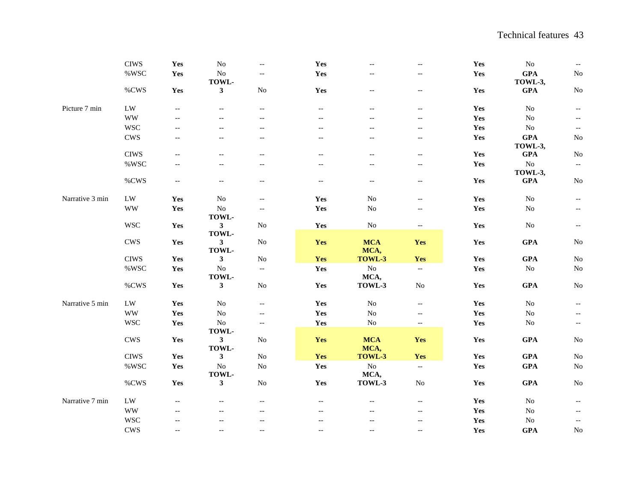|                 | <b>CIWS</b>    | Yes                      | $\rm No$                 | $-$                      | Yes                                                 | $-$                      | $-$                                                 | Yes | $\rm No$                         | $\overline{\phantom{a}}$                            |
|-----------------|----------------|--------------------------|--------------------------|--------------------------|-----------------------------------------------------|--------------------------|-----------------------------------------------------|-----|----------------------------------|-----------------------------------------------------|
|                 | %WSC           | Yes                      | ${\bf No}$<br>TOWL-      | $- -$                    | Yes                                                 | $-$                      | $-\hbox{--}$                                        | Yes | GPA<br>TOWL-3,                   | $\rm No$                                            |
|                 | %CWS           | Yes                      | $\mathbf{3}$             | No                       | Yes                                                 | $-\, -$                  | $- -$                                               | Yes | $\mathbf{G}\mathbf{P}\mathbf{A}$ | $\rm No$                                            |
| Picture 7 min   | ${\rm LW}$     | $\overline{\phantom{a}}$ | $\overline{\phantom{a}}$ | $-$                      | $\overline{\phantom{a}}$                            | $\overline{\phantom{a}}$ | $\overline{\phantom{a}}$                            | Yes | $\rm No$                         | $\overline{\phantom{m}}$                            |
|                 | <b>WW</b>      | $\overline{a}$           | $\overline{\phantom{a}}$ | Ц.,                      | $\overline{\phantom{m}}$                            | $\overline{a}$           | $\overline{\phantom{m}}$                            | Yes | No                               | $\overline{\phantom{m}}$                            |
|                 | <b>WSC</b>     | $\overline{\phantom{a}}$ | $\overline{\phantom{a}}$ | $\overline{\phantom{0}}$ | $\overline{\phantom{m}}$                            | $\overline{\phantom{a}}$ | $\overline{\phantom{m}}$                            | Yes | $\rm No$                         | $\overline{\phantom{a}}$                            |
|                 | $\mathrm{CWS}$ | $-$                      | $\overline{\phantom{a}}$ | $\overline{\phantom{a}}$ | $\overline{\phantom{m}}$                            | $\overline{\phantom{a}}$ | $\overline{\phantom{m}}$                            | Yes | <b>GPA</b><br>TOWL-3,            | $\rm No$                                            |
|                 | <b>CIWS</b>    | $\overline{\phantom{a}}$ | $\overline{\phantom{a}}$ | $\overline{\phantom{a}}$ | $\overline{\phantom{a}}$                            | $\overline{\phantom{a}}$ | $\overline{\phantom{m}}$                            | Yes | <b>GPA</b>                       | No                                                  |
|                 | %WSC           | $-$                      | $-$                      | $-$                      | $\overline{\phantom{a}}$                            | $-$                      | $\overline{\phantom{a}}$                            | Yes | $\rm No$<br>TOWL-3,              | $\overline{\phantom{a}}$                            |
|                 | %CWS           | $\overline{\phantom{a}}$ | $\overline{\phantom{a}}$ | $- -$                    | $\hspace{0.05cm} -\hspace{0.05cm} -\hspace{0.05cm}$ | $\overline{\phantom{a}}$ | $- -$                                               | Yes | <b>GPA</b>                       | No                                                  |
| Narrative 3 min | ${\rm LW}$     | Yes                      | $\rm No$                 | $-$                      | Yes                                                 | No                       | $\overline{\phantom{m}}$                            | Yes | $\rm No$                         | $\overline{\phantom{a}}$                            |
|                 | <b>WW</b>      | Yes                      | ${\rm No}$<br>TOWL-      | $\overline{\phantom{m}}$ | Yes                                                 | No                       | $-\, -$                                             | Yes | $\rm No$                         | $\mathcal{L}_{\mathcal{F}}$                         |
|                 | <b>WSC</b>     | Yes                      | $\mathbf{3}$<br>TOWL-    | No                       | Yes                                                 | No                       | $\mathord{\hspace{1pt}\text{--}\hspace{1pt}}$       | Yes | $\rm No$                         | $\overline{\phantom{a}}$                            |
|                 | $\mathrm{CWS}$ | Yes                      | $\mathbf{3}$<br>TOWL-    | No                       | Yes                                                 | <b>MCA</b><br>MCA,       | Yes                                                 | Yes | <b>GPA</b>                       | $\rm No$                                            |
|                 | <b>CIWS</b>    | Yes                      | $\mathbf{3}$             | $\rm No$                 | Yes                                                 | TOWL-3                   | Yes                                                 | Yes | <b>GPA</b>                       | $\rm No$                                            |
|                 | %WSC           | Yes                      | $\rm No$<br>TOWL-        | $\overline{\phantom{a}}$ | Yes                                                 | ${\rm No}$<br>MCA,       | $\mathbb{H}^{\mathbb{H}}$                           | Yes | $\rm No$                         | $\rm No$                                            |
|                 | %CWS           | Yes                      | 3                        | $\rm No$                 | Yes                                                 | TOWL-3                   | $\rm No$                                            | Yes | <b>GPA</b>                       | $\rm No$                                            |
| Narrative 5 min | LW             | Yes                      | $\rm No$                 | $\overline{\phantom{a}}$ | Yes                                                 | No                       | $\overline{\phantom{m}}$                            | Yes | $\rm No$                         | $\overline{\phantom{m}}$                            |
|                 | <b>WW</b>      | Yes                      | ${\rm No}$               | $-\, -$                  | Yes                                                 | $\mathbf{N}\mathbf{o}$   | $-\, -$                                             | Yes | $\rm No$                         | $\overline{\phantom{a}}$                            |
|                 | <b>WSC</b>     | Yes                      | ${\rm No}$<br>TOWL-      | $-\,-$                   | Yes                                                 | $\rm No$                 | $- -$                                               | Yes | No                               | $\hspace{0.05cm} -\hspace{0.05cm} -\hspace{0.05cm}$ |
|                 | $\mathrm{CWS}$ | Yes                      | $\mathbf{3}$<br>TOWL-    | No                       | Yes                                                 | <b>MCA</b><br>MCA,       | Yes                                                 | Yes | <b>GPA</b>                       | $\rm No$                                            |
|                 | <b>CIWS</b>    | Yes                      | 3                        | $\rm No$                 | Yes                                                 | TOWL-3                   | Yes                                                 | Yes | <b>GPA</b>                       | $\rm No$                                            |
|                 | %WSC           | Yes                      | $\rm No$<br>TOWL-        | $\rm No$                 | Yes                                                 | ${\rm No}$<br>MCA,       | $\overline{\phantom{m}}$                            | Yes | <b>GPA</b>                       | $\rm No$                                            |
|                 | %CWS           | Yes                      | $\mathbf{3}$             | $\rm No$                 | Yes                                                 | TOWL-3                   | $\rm No$                                            | Yes | <b>GPA</b>                       | ${\rm No}$                                          |
| Narrative 7 min | LW             | $-\, -$                  | $\overline{\phantom{a}}$ | $-\, -$                  | $\overline{\phantom{a}}$                            | $\overline{\phantom{a}}$ | $- -$                                               | Yes | No                               | $- -$                                               |
|                 | <b>WW</b>      | $\qquad \qquad -$        | $\overline{\phantom{a}}$ | $\overline{\phantom{a}}$ | $\overline{\phantom{m}}$                            | $-\,-$                   | $\overline{\phantom{m}}$                            | Yes | $\rm No$                         | $\hspace{0.05cm} -\hspace{0.05cm} -\hspace{0.05cm}$ |
|                 | <b>WSC</b>     | $\overline{\phantom{a}}$ | $\overline{\phantom{a}}$ | $- -$                    | $\overline{\phantom{a}}$                            | $-\, -$                  | $\overline{\phantom{a}}$                            | Yes | $\rm No$                         | $\hspace{0.05cm} -\hspace{0.05cm} -\hspace{0.05cm}$ |
|                 | <b>CWS</b>     | $\overline{\phantom{a}}$ | $- -$                    | $-$                      | $\hspace{0.05cm} -\hspace{0.05cm} -\hspace{0.05cm}$ | $-\, -$                  | $\hspace{0.05cm} -\hspace{0.05cm} -\hspace{0.05cm}$ | Yes | <b>GPA</b>                       | No                                                  |